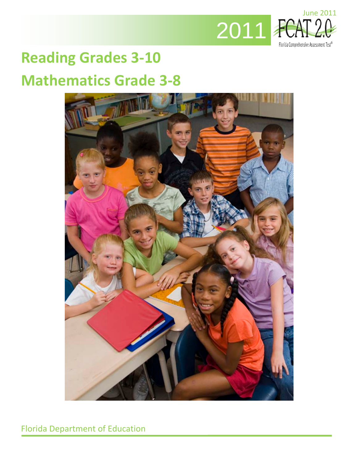

# **Reading Grades 3-10 Mathematics Grade 3-8**

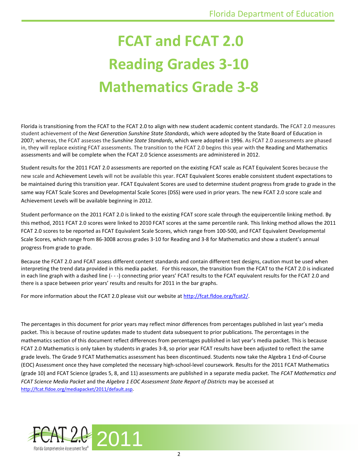# **FCAT and FCAT 2.0 Reading Grades 3-10 Mathematics Grade 3-8**

Florida is transitioning from the FCAT to the FCAT 2.0 to align with new student academic content standards. The FCAT 2.0 measures student achievement of the *Next Generation Sunshine State Standards*, which were adopted by the State Board of Education in 2007; whereas, the FCAT assesses the *Sunshine State Standards*, which were adopted in 1996. As FCAT 2.0 assessments are phased in, they will replace existing FCAT assessments. The transition to the FCAT 2.0 begins this year with the Reading and Mathematics assessments and will be complete when the FCAT 2.0 Science assessments are administered in 2012.

Student results for the 2011 FCAT 2.0 assessments are reported on the existing FCAT scale as FCAT Equivalent Scores because the new scale and Achievement Levels will not be available this year. FCAT Equivalent Scores enable consistent student expectations to be maintained during this transition year. FCAT Equivalent Scores are used to determine student progress from grade to grade in the same way FCAT Scale Scores and Developmental Scale Scores (DSS) were used in prior years. The new FCAT 2.0 score scale and Achievement Levels will be available beginning in 2012.

Student performance on the 2011 FCAT 2.0 is linked to the existing FCAT score scale through the equipercentile linking method. By this method, 2011 FCAT 2.0 scores were linked to 2010 FCAT scores at the same percentile rank. This linking method allows the 2011 FCAT 2.0 scores to be reported as FCAT Equivalent Scale Scores, which range from 100-500, and FCAT Equivalent Developmental Scale Scores, which range from 86-3008 across grades 3-10 for Reading and 3-8 for Mathematics and show a student's annual progress from grade to grade.

Because the FCAT 2.0 and FCAT assess different content standards and contain different test designs, caution must be used when interpreting the trend data provided in this media packet. For this reason, the transition from the FCAT to the FCAT 2.0 is indicated in each line graph with a dashed line (- - -) connecting prior years' FCAT results to the FCAT equivalent results for the FCAT 2.0 and there is a space between prior years' results and results for 2011 in the bar graphs.

For more information about the FCAT 2.0 please visit our website at [http://fcat.fldoe.org/fcat2/.](http://fcat.fldoe.org/fcat2/)

The percentages in this document for prior years may reflect minor differences from percentages published in last year's media packet. This is because of routine updates made to student data subsequent to prior publications. The percentages in the mathematics section of this document reflect differences from percentages published in last year's media packet. This is because FCAT 2.0 Mathematics is only taken by students in grades 3-8, so prior year FCAT results have been adjusted to reflect the same grade levels. The Grade 9 FCAT Mathematics assessment has been discontinued. Students now take the Algebra 1 End-of-Course (EOC) Assessment once they have completed the necessary high-school-level coursework. Results for the 2011 FCAT Mathematics (grade 10) and FCAT Science (grades 5, 8, and 11) assessments are published in a separate media packet. The *FCAT Mathematics and FCAT Science Media Packet* and the *Algebra 1 EOC Assessment State Report of Districts* may be accessed at [http://fcat.fldoe.org/mediapacket/2011/default.asp.](http://fcat.fldoe.org/mediapacket/2011/default.asp)

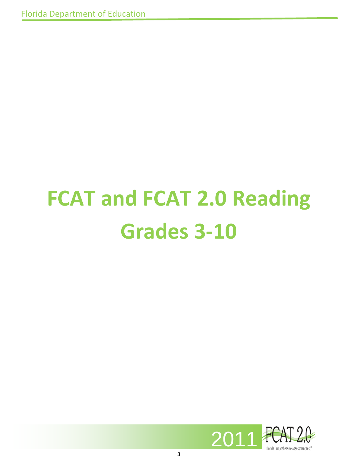# **FCAT and FCAT 2.0 Reading Grades 3-10**

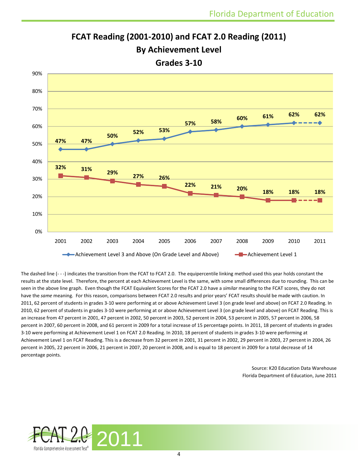

# **FCAT Reading (2001-2010) and FCAT 2.0 Reading (2011)**

**By Achievement Level** 

**Grades 3-10**

The dashed line (- - -) indicates the transition from the FCAT to FCAT 2.0. The equipercentile linking method used this year holds constant the results at the state level. Therefore, the percent at each Achievement Level is the same, with some small differences due to rounding. This can be seen in the above line graph. Even though the FCAT Equivalent Scores for the FCAT 2.0 have a *similar* meaning to the FCAT scores, they do not have the *same* meaning. For this reason, comparisons between FCAT 2.0 results and prior years' FCAT results should be made with caution. In 2011, 62 percent of students in grades 3-10 were performing at or above Achievement Level 3 (on grade level and above) on FCAT 2.0 Reading. In 2010, 62 percent of students in grades 3-10 were performing at or above Achievement Level 3 (on grade level and above) on FCAT Reading. This is an increase from 47 percent in 2001, 47 percent in 2002, 50 percent in 2003, 52 percent in 2004, 53 percent in 2005, 57 percent in 2006, 58 percent in 2007, 60 percent in 2008, and 61 percent in 2009 for a total increase of 15 percentage points. In 2011, 18 percent of students in grades 3-10 were performing at Achievement Level 1 on FCAT 2.0 Reading. In 2010, 18 percent of students in grades 3-10 were performing at Achievement Level 1 on FCAT Reading. This is a decrease from 32 percent in 2001, 31 percent in 2002, 29 percent in 2003, 27 percent in 2004, 26 percent in 2005, 22 percent in 2006, 21 percent in 2007, 20 percent in 2008, and is equal to 18 percent in 2009 for a total decrease of 14 percentage points.

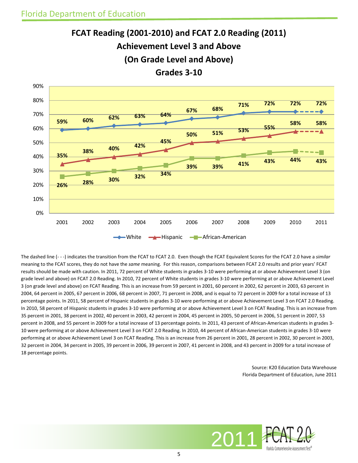



The dashed line (- - -) indicates the transition from the FCAT to FCAT 2.0. Even though the FCAT Equivalent Scores for the FCAT 2.0 have a *similar*  meaning to the FCAT scores, they do not have the *same* meaning. For this reason, comparisons between FCAT 2.0 results and prior years' FCAT results should be made with caution. In 2011, 72 percent of White students in grades 3-10 were performing at or above Achievement Level 3 (on grade level and above) on FCAT 2.0 Reading. In 2010, 72 percent of White students in grades 3-10 were performing at or above Achievement Level 3 (on grade level and above) on FCAT Reading. This is an increase from 59 percent in 2001, 60 percent in 2002, 62 percent in 2003, 63 percent in 2004, 64 percent in 2005, 67 percent in 2006, 68 percent in 2007, 71 percent in 2008, and is equal to 72 percent in 2009 for a total increase of 13 percentage points. In 2011, 58 percent of Hispanic students in grades 3-10 were performing at or above Achievement Level 3 on FCAT 2.0 Reading. In 2010, 58 percent of Hispanic students in grades 3-10 were performing at or above Achievement Level 3 on FCAT Reading. This is an increase from 35 percent in 2001, 38 percent in 2002, 40 percent in 2003, 42 percent in 2004, 45 percent in 2005, 50 percent in 2006, 51 percent in 2007, 53 percent in 2008, and 55 percent in 2009 for a total increase of 13 percentage points. In 2011, 43 percent of African-American students in grades 3- 10 were performing at or above Achievement Level 3 on FCAT 2.0 Reading. In 2010, 44 percent of African-American students in grades 3-10 were performing at or above Achievement Level 3 on FCAT Reading. This is an increase from 26 percent in 2001, 28 percent in 2002, 30 percent in 2003, 32 percent in 2004, 34 percent in 2005, 39 percent in 2006, 39 percent in 2007, 41 percent in 2008, and 43 percent in 2009 for a total increase of 18 percentage points.

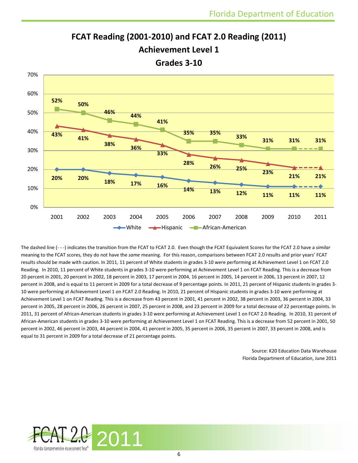

**FCAT Reading (2001-2010) and FCAT 2.0 Reading (2011)**

**Achievement Level 1**

**Grades 3-10**

The dashed line (- - -) indicates the transition from the FCAT to FCAT 2.0. Even though the FCAT Equivalent Scores for the FCAT 2.0 have a *similar*  meaning to the FCAT scores, they do not have the *same* meaning. For this reason, comparisons between FCAT 2.0 results and prior years' FCAT results should be made with caution. In 2011, 11 percent of White students in grades 3-10 were performing at Achievement Level 1 on FCAT 2.0 Reading. In 2010, 11 percent of White students in grades 3-10 were performing at Achievement Level 1 on FCAT Reading. This is a decrease from 20 percent in 2001, 20 percent in 2002, 18 percent in 2003, 17 percent in 2004, 16 percent in 2005, 14 percent in 2006, 13 percent in 2007, 12 percent in 2008, and is equal to 11 percent in 2009 for a total decrease of 9 percentage points. In 2011, 21 percent of Hispanic students in grades 3- 10 were performing at Achievement Level 1 on FCAT 2.0 Reading. In 2010, 21 percent of Hispanic students in grades 3-10 were performing at Achievement Level 1 on FCAT Reading. This is a decrease from 43 percent in 2001, 41 percent in 2002, 38 percent in 2003, 36 percent in 2004, 33 percent in 2005, 28 percent in 2006, 26 percent in 2007, 25 percent in 2008, and 23 percent in 2009 for a total decrease of 22 percentage points. In 2011, 31 percent of African-American students in grades 3-10 were performing at Achievement Level 1 on FCAT 2.0 Reading. In 2010, 31 percent of African-American students in grades 3-10 were performing at Achievement Level 1 on FCAT Reading. This is a decrease from 52 percent in 2001, 50 percent in 2002, 46 percent in 2003, 44 percent in 2004, 41 percent in 2005, 35 percent in 2006, 35 percent in 2007, 33 percent in 2008, and is equal to 31 percent in 2009 for a total decrease of 21 percentage points.

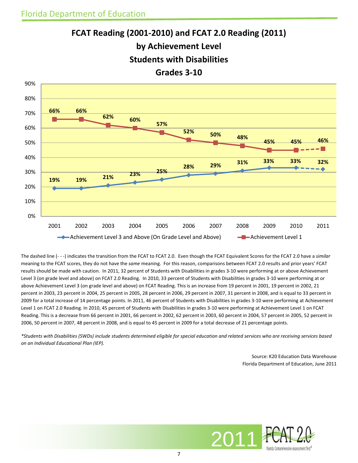



The dashed line (- - -) indicates the transition from the FCAT to FCAT 2.0. Even though the FCAT Equivalent Scores for the FCAT 2.0 have a *similar*  meaning to the FCAT scores, they do not have the *same* meaning. For this reason, comparisons between FCAT 2.0 results and prior years' FCAT results should be made with caution. In 2011, 32 percent of Students with Disabilities in grades 3-10 were performing at or above Achievement Level 3 (on grade level and above) on FCAT 2.0 Reading. In 2010, 33 percent of Students with Disabilities in grades 3-10 were performing at or above Achievement Level 3 (on grade level and above) on FCAT Reading. This is an increase from 19 percent in 2001, 19 percent in 2002, 21 percent in 2003, 23 percent in 2004, 25 percent in 2005, 28 percent in 2006, 29 percent in 2007, 31 percent in 2008, and is equal to 33 percent in 2009 for a total increase of 14 percentage points. In 2011, 46 percent of Students with Disabilities in grades 3-10 were performing at Achievement Level 1 on FCAT 2.0 Reading. In 2010, 45 percent of Students with Disabilities in grades 3-10 were performing at Achievement Level 1 on FCAT Reading. This is a decrease from 66 percent in 2001, 66 percent in 2002, 62 percent in 2003, 60 percent in 2004, 57 percent in 2005, 52 percent in 2006, 50 percent in 2007, 48 percent in 2008, and is equal to 45 percent in 2009 for a total decrease of 21 percentage points.

*\*Students with Disabilities (SWDs) include students determined eligible for special education and related services who are receiving services based on an Individual Educational Plan (IEP).*

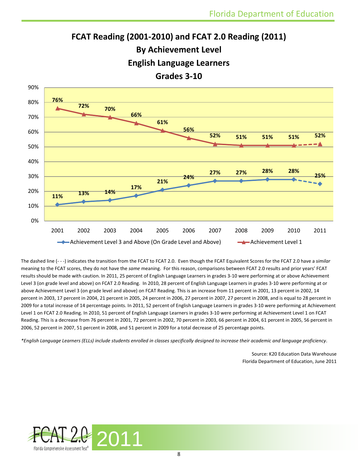# **FCAT Reading (2001-2010) and FCAT 2.0 Reading (2011) By Achievement Level English Language Learners Grades 3-10**



The dashed line (- - -) indicates the transition from the FCAT to FCAT 2.0. Even though the FCAT Equivalent Scores for the FCAT 2.0 have a *similar*  meaning to the FCAT scores, they do not have the *same* meaning. For this reason, comparisons between FCAT 2.0 results and prior years' FCAT results should be made with caution. In 2011, 25 percent of English Language Learners in grades 3-10 were performing at or above Achievement Level 3 (on grade level and above) on FCAT 2.0 Reading. In 2010, 28 percent of English Language Learners in grades 3-10 were performing at or above Achievement Level 3 (on grade level and above) on FCAT Reading. This is an increase from 11 percent in 2001, 13 percent in 2002, 14 percent in 2003, 17 percent in 2004, 21 percent in 2005, 24 percent in 2006, 27 percent in 2007, 27 percent in 2008, and is equal to 28 percent in 2009 for a total increase of 14 percentage points. In 2011, 52 percent of English Language Learners in grades 3-10 were performing at Achievement Level 1 on FCAT 2.0 Reading. In 2010, 51 percent of English Language Learners in grades 3-10 were performing at Achievement Level 1 on FCAT Reading. This is a decrease from 76 percent in 2001, 72 percent in 2002, 70 percent in 2003, 66 percent in 2004, 61 percent in 2005, 56 percent in 2006, 52 percent in 2007, 51 percent in 2008, and 51 percent in 2009 for a total decrease of 25 percentage points.

*\*English Language Learners (ELLs) include students enrolled in classes specifically designed to increase their academic and language proficiency*.

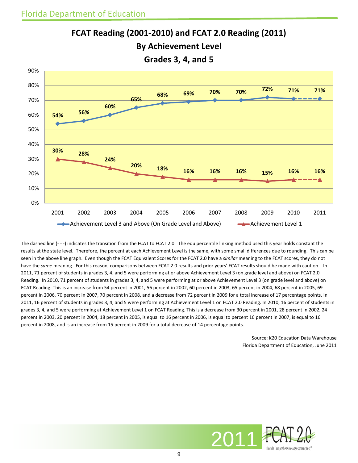

**FCAT Reading (2001-2010) and FCAT 2.0 Reading (2011) By Achievement Level**

The dashed line (- - -) indicates the transition from the FCAT to FCAT 2.0. The equipercentile linking method used this year holds constant the results at the state level. Therefore, the percent at each Achievement Level is the same, with some small differences due to rounding. This can be seen in the above line graph. Even though the FCAT Equivalent Scores for the FCAT 2.0 have a *similar* meaning to the FCAT scores, they do not have the *same* meaning. For this reason, comparisons between FCAT 2.0 results and prior years' FCAT results should be made with caution. In 2011, 71 percent of students in grades 3, 4, and 5 were performing at or above Achievement Level 3 (on grade level and above) on FCAT 2.0 Reading. In 2010, 71 percent of students in grades 3, 4, and 5 were performing at or above Achievement Level 3 (on grade level and above) on FCAT Reading. This is an increase from 54 percent in 2001, 56 percent in 2002, 60 percent in 2003, 65 percent in 2004, 68 percent in 2005, 69 percent in 2006, 70 percent in 2007, 70 percent in 2008, and a decrease from 72 percent in 2009 for a total increase of 17 percentage points. In 2011, 16 percent of students in grades 3, 4, and 5 were performing at Achievement Level 1 on FCAT 2.0 Reading. In 2010, 16 percent of students in grades 3, 4, and 5 were performing at Achievement Level 1 on FCAT Reading. This is a decrease from 30 percent in 2001, 28 percent in 2002, 24 percent in 2003, 20 percent in 2004, 18 percent in 2005, is equal to 16 percent in 2006, is equal to percent 16 percent in 2007, is equal to 16 percent in 2008, and is an increase from 15 percent in 2009 for a total decrease of 14 percentage points.

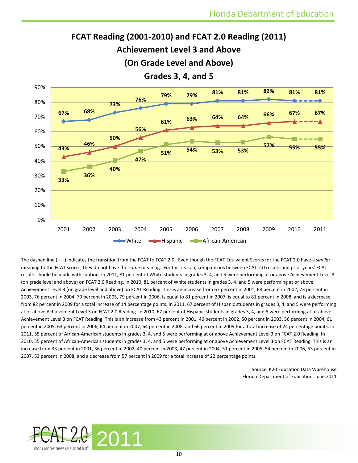**57% 55% 55%**



**51% 54% 53% 53%**



Source: K20 Education Data Warehouse Florida Department of Education, June 2011



**43%**

**33%**

0%

10%

20%

30%

40%

50%

**46%**

**36%**

**40%**

**47%**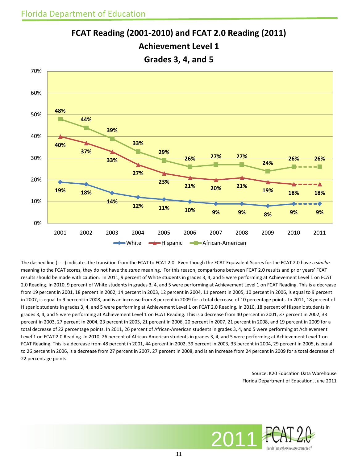

**FCAT Reading (2001-2010) and FCAT 2.0 Reading (2011) Achievement Level 1**

The dashed line (- - -) indicates the transition from the FCAT to FCAT 2.0. Even though the FCAT Equivalent Scores for the FCAT 2.0 have a *similar*  meaning to the FCAT scores, they do not have the *same* meaning. For this reason, comparisons between FCAT 2.0 results and prior years' FCAT results should be made with caution.In 2011, 9 percent of White students in grades 3, 4, and 5 were performing at Achievement Level 1 on FCAT 2.0 Reading. In 2010, 9 percent of White students in grades 3, 4, and 5 were performing at Achievement Level 1 on FCAT Reading. This is a decrease from 19 percent in 2001, 18 percent in 2002, 14 percent in 2003, 12 percent in 2004, 11 percent in 2005, 10 percent in 2006, is equal to 9 percent in 2007, is equal to 9 percent in 2008, and is an increase from 8 percent in 2009 for a total decrease of 10 percentage points. In 2011, 18 percent of Hispanic students in grades 3, 4, and 5 were performing at Achievement Level 1 on FCAT 2.0 Reading. In 2010, 18 percent of Hispanic students in grades 3, 4, and 5 were performing at Achievement Level 1 on FCAT Reading. This is a decrease from 40 percent in 2001, 37 percent in 2002, 33 percent in 2003, 27 percent in 2004, 23 percent in 2005, 21 percent in 2006, 20 percent in 2007, 21 percent in 2008, and 19 percent in 2009 for a total decrease of 22 percentage points. In 2011, 26 percent of African-American students in grades 3, 4, and 5 were performing at Achievement Level 1 on FCAT 2.0 Reading. In 2010, 26 percent of African-American students in grades 3, 4, and 5 were performing at Achievement Level 1 on FCAT Reading. This is a decrease from 48 percent in 2001, 44 percent in 2002, 39 percent in 2003, 33 percent in 2004, 29 percent in 2005, is equal to 26 percent in 2006, is a decrease from 27 percent in 2007, 27 percent in 2008, and is an increase from 24 percent in 2009 for a total decrease of 22 percentage points.

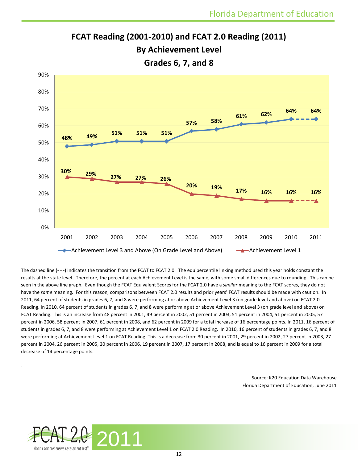

The dashed line (- - -) indicates the transition from the FCAT to FCAT 2.0. The equipercentile linking method used this year holds constant the results at the state level. Therefore, the percent at each Achievement Level is the same, with some small differences due to rounding. This can be seen in the above line graph. Even though the FCAT Equivalent Scores for the FCAT 2.0 have a *similar* meaning to the FCAT scores, they do not have the *same* meaning. For this reason, comparisons between FCAT 2.0 results and prior years' FCAT results should be made with caution. In 2011, 64 percent of students in grades 6, 7, and 8 were performing at or above Achievement Level 3 (on grade level and above) on FCAT 2.0 Reading. In 2010, 64 percent of students in grades 6, 7, and 8 were performing at or above Achievement Level 3 (on grade level and above) on FCAT Reading. This is an increase from 48 percent in 2001, 49 percent in 2002, 51 percent in 2003, 51 percent in 2004, 51 percent in 2005, 57 percent in 2006, 58 percent in 2007, 61 percent in 2008, and 62 percent in 2009 for a total increase of 16 percentage points. In 2011, 16 percent of students in grades 6, 7, and 8 were performing at Achievement Level 1 on FCAT 2.0 Reading. In 2010, 16 percent of students in grades 6, 7, and 8 were performing at Achievement Level 1 on FCAT Reading. This is a decrease from 30 percent in 2001, 29 percent in 2002, 27 percent in 2003, 27 percent in 2004, 26 percent in 2005, 20 percent in 2006, 19 percent in 2007, 17 percent in 2008, and is equal to 16 percent in 2009 for a total

**FCAT Reading (2001-2010) and FCAT 2.0 Reading (2011) By Achievement Level** 

Source: K20 Education Data Warehouse Florida Department of Education, June 2011



decrease of 14 percentage points.

.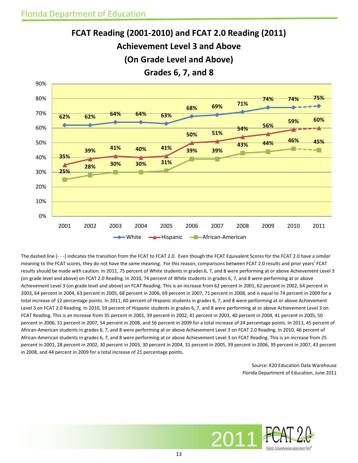90%





The dashed line (- - -) indicates the transition from the FCAT to FCAT 2.0. Even though the FCAT Equivalent Scores for the FCAT 2.0 have a *similar*  meaning to the FCAT scores, they do not have the *same* meaning. For this reason, comparisons between FCAT 2.0 results and prior years' FCAT results should be made with caution. In 2011, 75 percent of White students in grades 6, 7, and 8 were performing at or above Achievement Level 3 (on grade level and above) on FCAT 2.0 Reading. In 2010, 74 percent of White students in grades 6, 7, and 8 were performing at or above Achievement Level 3 (on grade level and above) on FCAT Reading. This is an increase from 62 percent in 2001, 62 percent in 2002, 64 percent in 2003, 64 percent in 2004, 63 percent in 2005, 68 percent in 2006, 69 percent in 2007, 71 percent in 2008, and is equal to 74 percent in 2009 for a total increase of 12 percentage points. In 2011, 60 percent of Hispanic students in grades 6, 7, and 8 were performing at or above Achievement Level 3 on FCAT 2.0 Reading. In 2010, 59 percent of Hispanic students in grades 6, 7, and 8 were performing at or above Achievement Level 3 on FCAT Reading. This is an increase from 35 percent in 2001, 39 percent in 2002, 41 percent in 2003, 40 percent in 2004, 41 percent in 2005, 50 percent in 2006, 51 percent in 2007, 54 percent in 2008, and 56 percent in 2009 for a total increase of 24 percentage points. In 2011, 45 percent of African-American students in grades 6, 7, and 8 were performing at or above Achievement Level 3 on FCAT 2.0 Reading. In 2010, 46 percent of African-American students in grades 6, 7, and 8 were performing at or above Achievement Level 3 on FCAT Reading. This is an increase from 25 percent in 2001, 28 percent in 2002, 30 percent in 2003, 30 percent in 2004, 31 percent in 2005, 39 percent in 2006, 39 percent in 2007, 43 percent in 2008, and 44 percent in 2009 for a total increase of 21 percentage points.

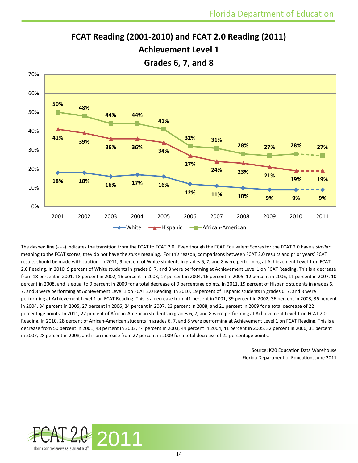

**FCAT Reading (2001-2010) and FCAT 2.0 Reading (2011) Achievement Level 1**

The dashed line (- - -) indicates the transition from the FCAT to FCAT 2.0. Even though the FCAT Equivalent Scores for the FCAT 2.0 have a *similar*  meaning to the FCAT scores, they do not have the *same* meaning. For this reason, comparisons between FCAT 2.0 results and prior years' FCAT results should be made with caution. In 2011, 9 percent of White students in grades 6, 7, and 8 were performing at Achievement Level 1 on FCAT 2.0 Reading. In 2010, 9 percent of White students in grades 6, 7, and 8 were performing at Achievement Level 1 on FCAT Reading. This is a decrease from 18 percent in 2001, 18 percent in 2002, 16 percent in 2003, 17 percent in 2004, 16 percent in 2005, 12 percent in 2006, 11 percent in 2007, 10 percent in 2008, and is equal to 9 percent in 2009 for a total decrease of 9 percentage points. In 2011, 19 percent of Hispanic students in grades 6, 7, and 8 were performing at Achievement Level 1 on FCAT 2.0 Reading. In 2010, 19 percent of Hispanic students in grades 6, 7, and 8 were performing at Achievement Level 1 on FCAT Reading. This is a decrease from 41 percent in 2001, 39 percent in 2002, 36 percent in 2003, 36 percent in 2004, 34 percent in 2005, 27 percent in 2006, 24 percent in 2007, 23 percent in 2008, and 21 percent in 2009 for a total decrease of 22 percentage points. In 2011, 27 percent of African-American students in grades 6, 7, and 8 were performing at Achievement Level 1 on FCAT 2.0 Reading. In 2010, 28 percent of African-American students in grades 6, 7, and 8 were performing at Achievement Level 1 on FCAT Reading. This is a decrease from 50 percent in 2001, 48 percent in 2002, 44 percent in 2003, 44 percent in 2004, 41 percent in 2005, 32 percent in 2006, 31 percent in 2007, 28 percent in 2008, and is an increase from 27 percent in 2009 for a total decrease of 22 percentage points.

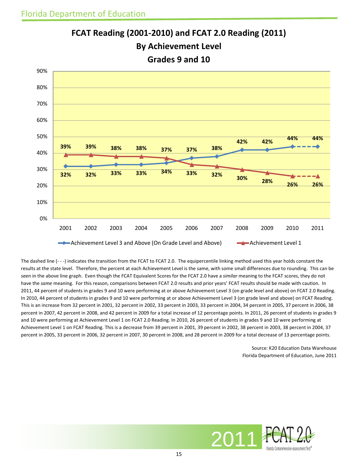

**FCAT Reading (2001-2010) and FCAT 2.0 Reading (2011) By Achievement Level Grades 9 and 10** 

The dashed line (- - -) indicates the transition from the FCAT to FCAT 2.0. The equipercentile linking method used this year holds constant the results at the state level. Therefore, the percent at each Achievement Level is the same, with some small differences due to rounding. This can be seen in the above line graph. Even though the FCAT Equivalent Scores for the FCAT 2.0 have a *similar* meaning to the FCAT scores, they do not have the *same* meaning. For this reason, comparisons between FCAT 2.0 results and prior years' FCAT results should be made with caution. In 2011, 44 percent of students in grades 9 and 10 were performing at or above Achievement Level 3 (on grade level and above) on FCAT 2.0 Reading. In 2010, 44 percent of students in grades 9 and 10 were performing at or above Achievement Level 3 (on grade level and above) on FCAT Reading. This is an increase from 32 percent in 2001, 32 percent in 2002, 33 percent in 2003, 33 percent in 2004, 34 percent in 2005, 37 percent in 2006, 38 percent in 2007, 42 percent in 2008, and 42 percent in 2009 for a total increase of 12 percentage points. In 2011, 26 percent of students in grades 9 and 10 were performing at Achievement Level 1 on FCAT 2.0 Reading. In 2010, 26 percent of students in grades 9 and 10 were performing at Achievement Level 1 on FCAT Reading. This is a decrease from 39 percent in 2001, 39 percent in 2002, 38 percent in 2003, 38 percent in 2004, 37 percent in 2005, 33 percent in 2006, 32 percent in 2007, 30 percent in 2008, and 28 percent in 2009 for a total decrease of 13 percentage points.

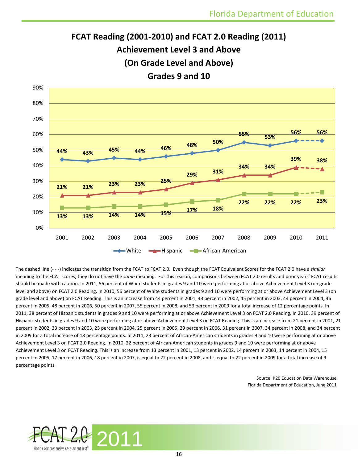



The dashed line (- - -) indicates the transition from the FCAT to FCAT 2.0. Even though the FCAT Equivalent Scores for the FCAT 2.0 have a *similar*  meaning to the FCAT scores, they do not have the *same* meaning. For this reason, comparisons between FCAT 2.0 results and prior years' FCAT results should be made with caution. In 2011, 56 percent of White students in grades 9 and 10 were performing at or above Achievement Level 3 (on grade level and above) on FCAT 2.0 Reading. In 2010, 56 percent of White students in grades 9 and 10 were performing at or above Achievement Level 3 (on grade level and above) on FCAT Reading. This is an increase from 44 percent in 2001, 43 percent in 2002, 45 percent in 2003, 44 percent in 2004, 46 percent in 2005, 48 percent in 2006, 50 percent in 2007, 55 percent in 2008, and 53 percent in 2009 for a total increase of 12 percentage points. In 2011, 38 percent of Hispanic students in grades 9 and 10 were performing at or above Achievement Level 3 on FCAT 2.0 Reading. In 2010, 39 percent of Hispanic students in grades 9 and 10 were performing at or above Achievement Level 3 on FCAT Reading. This is an increase from 21 percent in 2001, 21 percent in 2002, 23 percent in 2003, 23 percent in 2004, 25 percent in 2005, 29 percent in 2006, 31 percent in 2007, 34 percent in 2008, and 34 percent in 2009 for a total increase of 18 percentage points. In 2011, 23 percent of African-American students in grades 9 and 10 were performing at or above Achievement Level 3 on FCAT 2.0 Reading. In 2010, 22 percent of African-American students in grades 9 and 10 were performing at or above Achievement Level 3 on FCAT Reading. This is an increase from 13 percent in 2001, 13 percent in 2002, 14 percent in 2003, 14 percent in 2004, 15 percent in 2005, 17 percent in 2006, 18 percent in 2007, is equal to 22 percent in 2008, and is equal to 22 percent in 2009 for a total increase of 9 percentage points.

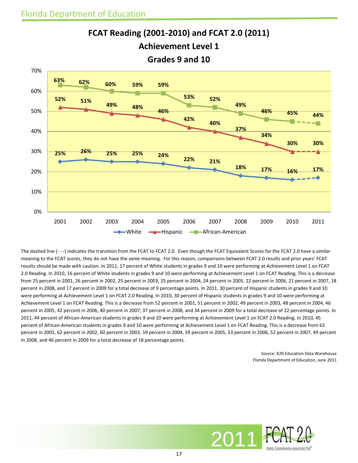

**FCAT Reading (2001-2010) and FCAT 2.0 (2011) Achievement Level 1**

The dashed line (- - -) indicates the transition from the FCAT to FCAT 2.0. Even though the FCAT Equivalent Scores for the FCAT 2.0 have a *similar*  meaning to the FCAT scores, they do not have the *same* meaning. For this reason, comparisons between FCAT 2.0 results and prior years' FCAT results should be made with caution. In 2011, 17 percent of White students in grades 9 and 10 were performing at Achievement Level 1 on FCAT 2.0 Reading. In 2010, 16 percent of White students in grades 9 and 10 were performing at Achievement Level 1 on FCAT Reading. This is a decrease from 25 percent in 2001, 26 percent in 2002, 25 percent in 2003, 25 percent in 2004, 24 percent in 2005, 22 percent in 2006, 21 percent in 2007, 18 percent in 2008, and 17 percent in 2009 for a total decrease of 9 percentage points. In 2011, 30 percent of Hispanic students in grades 9 and 10 were performing at Achievement Level 1 on FCAT 2.0 Reading. In 2010, 30 percent of Hispanic students in grades 9 and 10 were performing at Achievement Level 1 on FCAT Reading. This is a decrease from 52 percent in 2001, 51 percent in 2002, 49 percent in 2003, 48 percent in 2004, 46 percent in 2005, 42 percent in 2006, 40 percent in 2007, 37 percent in 2008, and 34 percent in 2009 for a total decrease of 22 percentage points. In 2011, 44 percent of African-American students in grades 9 and 10 were performing at Achievement Level 1 on FCAT 2.0 Reading. In 2010, 45 percent of African-American students in grades 9 and 10 were performing at Achievement Level 1 on FCAT Reading. This is a decrease from 63 percent in 2001, 62 percent in 2002, 60 percent in 2003, 59 percent in 2004, 59 percent in 2005, 53 percent in 2006, 52 percent in 2007, 49 percent in 2008, and 46 percent in 2009 for a total decrease of 18 percentage points.

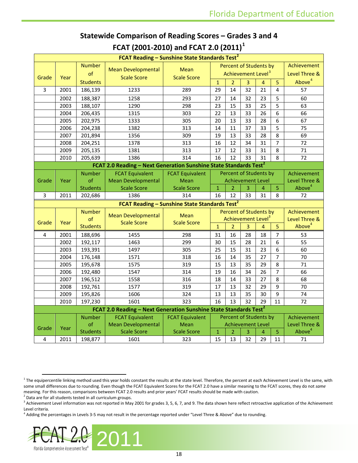| FCAT Reading - Sunshine State Standards Test <sup>2</sup> |      |                 |                                                                               |                                                           |                |                                |                |                |                |                    |
|-----------------------------------------------------------|------|-----------------|-------------------------------------------------------------------------------|-----------------------------------------------------------|----------------|--------------------------------|----------------|----------------|----------------|--------------------|
|                                                           |      | <b>Number</b>   |                                                                               |                                                           |                | Percent of Students by         |                |                |                | Achievement        |
|                                                           |      | of              | <b>Mean Developmental</b>                                                     | <b>Mean</b>                                               |                | Achievement Level <sup>3</sup> |                |                |                | Level Three &      |
| Grade                                                     | Year |                 | <b>Scale Score</b>                                                            | <b>Scale Score</b>                                        |                |                                |                |                |                | Above <sup>4</sup> |
|                                                           |      | <b>Students</b> |                                                                               |                                                           | $\mathbf{1}$   | $\overline{a}$                 | 3              | 4              | $\overline{5}$ |                    |
| 3                                                         | 2001 | 186,139         | 1233                                                                          | 289                                                       | 29             | 14                             | 32             | 21             | 4              | 57                 |
|                                                           | 2002 | 188,387         | 1258                                                                          | 293                                                       | 27             | 14                             | 32             | 23             | 5              | 60                 |
|                                                           | 2003 | 188,107         | 1290                                                                          | 298                                                       | 23             | 15                             | 33             | 25             | 5              | 63                 |
|                                                           | 2004 | 206,435         | 1315                                                                          | 303                                                       | 22             | 13                             | 33             | 26             | 6              | 66                 |
|                                                           | 2005 | 202,975         | 1333                                                                          | 305                                                       | 20             | 13                             | 33             | 28             | 6              | 67                 |
|                                                           | 2006 | 204,238         | 1382                                                                          | 313                                                       | 14             | 11                             | 37             | 33             | 5              | 75                 |
|                                                           | 2007 | 201,894         | 1356                                                                          | 309                                                       | 19             | 13                             | 33             | 28             | 8              | 69                 |
|                                                           | 2008 | 204,251         | 1378                                                                          | 313                                                       | 16             | 12                             | 34             | 31             | $\overline{7}$ | 72                 |
|                                                           | 2009 | 205,135         | 1381                                                                          | 313                                                       | 17             | 12                             | 33             | 31             | 8              | 71                 |
|                                                           | 2010 | 205,639         | 1386                                                                          | 314                                                       | 16             | 12                             | 33             | 31             | 8              | 72                 |
|                                                           |      |                 | FCAT 2.0 Reading - Next Generation Sunshine State Standards Test <sup>2</sup> |                                                           |                |                                |                |                |                |                    |
|                                                           |      | <b>Number</b>   | <b>FCAT Equivalent</b>                                                        | <b>FCAT Equivalent</b>                                    |                | Percent of Students by         |                |                |                | Achievement        |
| Grade                                                     | Year | of              | <b>Mean Developmental</b>                                                     | Mean                                                      |                | <b>Achievement Level</b>       |                |                |                | Level Three &      |
|                                                           |      | <b>Students</b> | <b>Scale Score</b>                                                            | <b>Scale Score</b>                                        | $\mathbf 1$    | $\overline{2}$                 | 3              | 4              | $\overline{5}$ | Above <sup>4</sup> |
| 3                                                         | 2011 | 202,686         | 1386                                                                          | 314                                                       | 16             | 12                             | 33             | 31             | 8              | 72                 |
|                                                           |      |                 |                                                                               | FCAT Reading - Sunshine State Standards Test <sup>2</sup> |                |                                |                |                |                |                    |
|                                                           |      | <b>Number</b>   |                                                                               |                                                           |                | Percent of Students by         |                |                |                | Achievement        |
|                                                           |      | of              | <b>Mean Developmental</b><br><b>Scale Score</b>                               | <b>Mean</b><br><b>Scale Score</b>                         |                | Achievement Level <sup>3</sup> |                |                |                | Level Three &      |
| Grade                                                     | Year | <b>Students</b> |                                                                               |                                                           | $\overline{1}$ | $\overline{2}$                 | $\overline{3}$ | $\overline{4}$ | 5              | Above <sup>4</sup> |
| 4                                                         | 2001 | 188,696         | 1455                                                                          | 298                                                       | 31             | 16                             | 28             | 18             | $\overline{7}$ | 53                 |
|                                                           | 2002 | 192,117         | 1463                                                                          | 299                                                       | 30             | 15                             | 28             | 21             | 6              | 55                 |
|                                                           | 2003 | 193,391         | 1497                                                                          | 305                                                       | 25             | 15                             | 31             | 23             | 6              | 60                 |
|                                                           | 2004 | 176,148         | 1571                                                                          | 318                                                       | 16             | 14                             | 35             | 27             | 7              | 70                 |
|                                                           | 2005 | 195,678         | 1575                                                                          | 319                                                       | 15             | 13                             | 35             | 29             | 8              | 71                 |
|                                                           | 2006 | 192,480         | 1547                                                                          | 314                                                       | 19             | 16                             | 34             | 26             | $\overline{7}$ | 66                 |
|                                                           | 2007 | 196,512         | 1558                                                                          | 316                                                       | 18             | 14                             | 33             | 27             | 8              | 68                 |
|                                                           | 2008 | 192,761         | 1577                                                                          | 319                                                       | 17             | 13                             | 32             | 29             | 9              | 70                 |
|                                                           | 2009 | 195,826         | 1606                                                                          | 324                                                       | 13             | 13                             | 35             | 30             | 9              | 74                 |
|                                                           | 2010 | 197,230         | 1601                                                                          | 323                                                       | 16             | 13                             | 32             | 29             | 11             | 72                 |
|                                                           |      |                 | FCAT 2.0 Reading - Next Generation Sunshine State Standards Test <sup>2</sup> |                                                           |                |                                |                |                |                |                    |
|                                                           |      | <b>Number</b>   | <b>FCAT Equivalent</b>                                                        | <b>FCAT Equivalent</b>                                    |                | Percent of Students by         |                |                |                | Achievement        |
|                                                           |      | of              | <b>Mean Developmental</b>                                                     | Mean                                                      |                | <b>Achievement Level</b>       |                |                |                | Level Three &      |
| Grade                                                     | Year | <b>Students</b> | <b>Scale Score</b>                                                            | <b>Scale Score</b>                                        | $\mathbf 1$    | $\overline{2}$                 | 3              | 4              | 5              | Above <sup>4</sup> |
| 4                                                         | 2011 | 198,877         | 1601                                                                          | 323                                                       | 15             | 13                             | 32             | 29             | 11             | 71                 |

#### **Statewide Comparison of Reading Scores – Grades 3 and 4 FCAT (2001-2010) and FCAT 2.0 (2011)[1](#page-17-0)**

<span id="page-17-3"></span><span id="page-17-2"></span><sup>4</sup> Adding the percentages in Levels 3-5 may not result in the percentage reported under "Level Three & Above" due to rounding.



<span id="page-17-0"></span> $1$  The equipercentile linking method used this year holds constant the results at the state level. Therefore, the percent at each Achievement Level is the same, with some small differences due to rounding. Even though the FCAT Equivalent Scores for the FCAT 2.0 have a similar meaning to the FCAT scores, they do not *same* meaning. For this reason, comparisons between FCAT 2.0 results and prior years' FCAT results should be made with caution. <sup>2</sup> Data are for all students tested in all curriculum groups.

<span id="page-17-1"></span>

<sup>&</sup>lt;sup>3</sup> Achievement Level information was not reported in May 2001 for grades 3, 5, 6, 7, and 9. The data shown here reflect retroactive application of the Achievement Level criteria.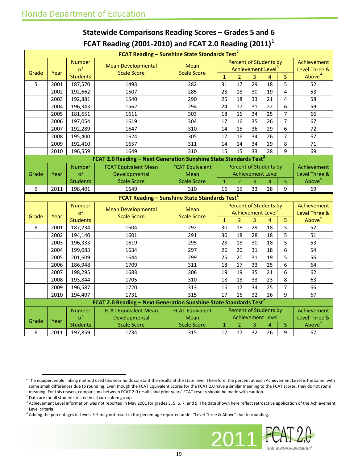| FCAT Reading - Sunshine State Standards Test <sup>2</sup> |              |                            |                                                                               |                        |                   |                |         |                                |                |                          |
|-----------------------------------------------------------|--------------|----------------------------|-------------------------------------------------------------------------------|------------------------|-------------------|----------------|---------|--------------------------------|----------------|--------------------------|
|                                                           |              | <b>Number</b>              | <b>Mean Developmental</b>                                                     | Mean                   |                   |                |         | Percent of Students by         |                | Achievement              |
| Grade                                                     | Year         | of                         | <b>Scale Score</b>                                                            | <b>Scale Score</b>     |                   |                |         | Achievement Level <sup>3</sup> |                | Level Three &            |
|                                                           |              | <b>Students</b>            |                                                                               |                        | $\mathbf{1}$      | $\overline{2}$ | 3       | $\overline{4}$                 | 5              | Above <sup>4</sup>       |
| 5                                                         | 2001         | 187,570                    | 1493                                                                          | 282                    | 31                | 17             | 29      | 18                             | 5              | 52                       |
|                                                           | 2002         | 192,662                    | 1507                                                                          | 285                    | 28                | 18             | 30      | 19                             | 4              | 53                       |
|                                                           | 2003         | 192,881                    | 1540                                                                          | 290                    | 25                | 18             | 33      | 21                             | 4              | 58                       |
|                                                           | 2004         | 196,343                    | 1562                                                                          | 294                    | 24                | 17             | 31      | 22                             | 6              | 59                       |
|                                                           | 2005         | 181,651                    | 1611                                                                          | 303                    | 18                | 16             | 34      | 25                             | $\overline{7}$ | 66                       |
|                                                           | 2006         | 197,054                    | 1619                                                                          | 304                    | 17                | 16             | 35      | 26                             | $\overline{7}$ | 67                       |
|                                                           | 2007         | 192,289                    | 1647                                                                          | 310                    | 14                | 15             | 36      | 29                             | 6              | 72                       |
|                                                           | 2008         | 195,400                    | 1624                                                                          | 305                    | 17                | 16             | 34      | 26                             | $\overline{7}$ | 67                       |
|                                                           | 2009         | 192,410                    | 1657                                                                          | 311                    | 14                | 14             | 34      | 29                             | 8              | 71                       |
|                                                           | 2010         | 196,559                    | 1649                                                                          | 310                    | 15                | 15             | 33      | 28                             | 9              | 69                       |
|                                                           |              |                            | FCAT 2.0 Reading - Next Generation Sunshine State Standards Test <sup>2</sup> |                        |                   |                |         |                                |                |                          |
|                                                           |              | <b>Number</b>              | <b>FCAT Equivalent Mean</b>                                                   | <b>FCAT Equivalent</b> |                   |                |         | Percent of Students by         |                | Achievement              |
| Grade                                                     | Year         | of                         | Developmental                                                                 | Mean                   |                   |                |         | <b>Achievement Level</b>       |                | Level Three &            |
|                                                           |              | <b>Students</b>            | <b>Scale Score</b>                                                            | <b>Scale Score</b>     | $\overline{1}$    | $\overline{2}$ | 3       | $\overline{4}$                 | $\overline{5}$ | Above <sup>4</sup>       |
| 5                                                         | 2011         | 198,401                    | 1649                                                                          | 310                    | 16                | 15             | 33      | 28                             | $\mathsf{q}$   | 69                       |
| FCAT Reading - Sunshine State Standards Test <sup>2</sup> |              |                            |                                                                               |                        |                   |                |         |                                |                |                          |
|                                                           |              |                            |                                                                               |                        |                   |                |         |                                |                |                          |
|                                                           |              | <b>Number</b>              |                                                                               |                        |                   |                |         | <b>Percent of Students by</b>  |                | Achievement              |
|                                                           |              | of                         | <b>Mean Developmental</b>                                                     | Mean                   |                   |                |         | Achievement Level <sup>3</sup> |                | Level Three &            |
| Grade                                                     | Year         | <b>Students</b>            | <b>Scale Score</b>                                                            | <b>Scale Score</b>     | $\overline{1}$    | $\overline{2}$ | 3       | $\overline{4}$                 | 5              | Above <sup>4</sup>       |
| $6\overline{6}$                                           | 2001         | 187,234                    | 1604                                                                          | 292                    | 30                | 18             | 29      | 18                             | 5              | 52                       |
|                                                           | 2002         | 194,140                    | 1601                                                                          | 291                    | 30                | 18             | 28      | 18                             | 5              | 51                       |
|                                                           | 2003         | 196,333                    | 1619                                                                          | 295                    | 28                | 18             | 30      | 18                             | 5              | 53                       |
|                                                           | 2004         | 199,083                    | 1634                                                                          | 297                    | 26                | 20             | 31      | 18                             | 6              | 54                       |
|                                                           | 2005         | 201,609                    | 1644                                                                          | 299                    | 25                | 20             | 31      | 19                             | 5              | 56                       |
|                                                           | 2006         | 186,948                    | 1709                                                                          | 311                    | 18                | 17             | 33      | 25                             | 6              | 64                       |
|                                                           | 2007         | 198,295                    | 1683                                                                          | 306                    | 19                | 19             | 35      | 21                             | 6              | 62                       |
|                                                           | 2008         | 193,844                    | 1705                                                                          | 310                    | 18                | 18             | 33      | 23                             | 8              | 63                       |
|                                                           | 2009         | 196,587                    | 1720                                                                          | 313                    | 16                | 17             | 34      | 25                             | 7              | 66                       |
|                                                           | 2010         | 194,407                    | 1731                                                                          | 315                    | 17                | 16             | 32      | 26                             | 9              | 67                       |
|                                                           |              |                            | FCAT 2.0 Reading – Next Generation Sunshine State Standards Test <sup>2</sup> |                        |                   |                |         |                                |                |                          |
|                                                           |              | <b>Number</b>              | <b>FCAT Equivalent Mean</b>                                                   | <b>FCAT Equivalent</b> |                   |                |         | Percent of Students by         |                | Achievement              |
|                                                           |              | of                         | Developmental                                                                 | Mean                   |                   |                |         | <b>Achievement Level</b>       |                | Level Three &            |
| Grade                                                     | Year<br>2011 | <b>Students</b><br>197,859 | <b>Scale Score</b><br>1734                                                    | <b>Scale Score</b>     | $\mathbf 1$<br>17 | $\overline{2}$ | 3<br>32 | 4<br>26                        | 5              | Above <sup>4</sup><br>67 |

### **Statewide Comparisons Reading Scores – Grades 5 and 6 FCAT Reading (2001-2010) and FCAT 2.0 Reading (2011)[1](#page-18-0)**

<span id="page-18-3"></span><sup>4</sup> Adding the percentages in Levels 3-5 may not result in the percentage reported under "Level Three & Above" due to rounding.



<span id="page-18-0"></span> $1$  The equipercentile linking method used this year holds constant the results at the state level. Therefore, the percent at each Achievement Level is the same, with some small differences due to rounding. Even though the FCAT Equivalent Scores for the FCAT 2.0 have a similar meaning to the FCAT scores, they do not *same* meaning. For this reason, comparisons between FCAT 2.0 results and prior years' FCAT results should be made with caution.

<span id="page-18-1"></span> $2$  Data are for all students tested in all curriculum groups.

<span id="page-18-2"></span> $3$  Achievement Level information was not reported in May 2001 for grades 3, 5, 6, 7, and 9. The data shown here reflect retroactive application of the Achievement Level criteria.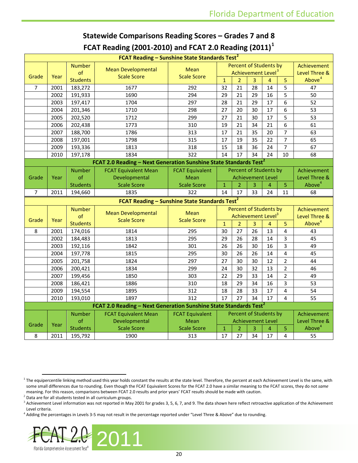| FCAT Requirig (2001-2010) and FCAT 2.0 Requiring (2011)   |      |                 |                                                                               |                            |                |                |    |                                |                |                    |
|-----------------------------------------------------------|------|-----------------|-------------------------------------------------------------------------------|----------------------------|----------------|----------------|----|--------------------------------|----------------|--------------------|
|                                                           |      |                 | FCAT Reading - Sunshine State Standards Test <sup>2</sup>                     |                            |                |                |    |                                |                |                    |
|                                                           |      | <b>Number</b>   | <b>Mean Developmental</b>                                                     | Mean                       |                |                |    | <b>Percent of Students by</b>  |                | Achievement        |
| Grade                                                     | Year | of              | <b>Scale Score</b>                                                            | <b>Scale Score</b>         |                |                |    | Achievement Level <sup>3</sup> |                | Level Three &      |
|                                                           |      | <b>Students</b> |                                                                               |                            | $\mathbf 1$    | $\overline{2}$ | 3  | 4                              | 5              | Above <sup>4</sup> |
| 7                                                         | 2001 | 183,272         | 1677                                                                          | 292                        | 32             | 21             | 28 | 14                             | 5              | 47                 |
|                                                           | 2002 | 191,933         | 1690                                                                          | 294                        | 29             | 21             | 29 | 16                             | 5              | 50                 |
|                                                           | 2003 | 197,417         | 1704                                                                          | 297                        | 28             | 21             | 29 | 17                             | 6              | 52                 |
|                                                           | 2004 | 201,346         | 1710                                                                          | 298                        | 27             | 20             | 30 | 17                             | 6              | 53                 |
|                                                           | 2005 | 202,520         | 1712                                                                          | 299                        | 27             | 21             | 30 | 17                             | 5              | 53                 |
|                                                           | 2006 | 202,438         | 1773                                                                          | 310                        | 19             | 21             | 34 | 21                             | 6              | 61                 |
|                                                           | 2007 | 188,700         | 1786                                                                          | 313                        | 17             | 21             | 35 | 20                             | $\overline{7}$ | 63                 |
|                                                           | 2008 | 197,001         | 1798                                                                          | 315                        | 17             | 19             | 35 | 22                             | $\overline{7}$ | 65                 |
|                                                           | 2009 | 193,336         | 1813                                                                          | 318                        | 15             | 18             | 36 | 24                             | 7              | 67                 |
|                                                           | 2010 | 197,178         | 1834                                                                          | 322                        | 14             | 17             | 34 | 24                             | 10             | 68                 |
|                                                           |      |                 | FCAT 2.0 Reading - Next Generation Sunshine State Standards Test <sup>2</sup> |                            |                |                |    |                                |                |                    |
|                                                           |      | <b>Number</b>   | <b>FCAT Equivalent Mean</b>                                                   | <b>FCAT Equivalent</b>     |                |                |    | Percent of Students by         |                | Achievement        |
| Grade                                                     | Year | of              | Developmental                                                                 | Mean                       |                |                |    | <b>Achievement Level</b>       |                | Level Three &      |
|                                                           |      | <b>Students</b> | <b>Scale Score</b>                                                            | <b>Scale Score</b>         | $\overline{1}$ | $\overline{2}$ | 3  | $\overline{a}$                 | $\overline{5}$ | Above <sup>4</sup> |
| 7                                                         | 2011 | 194,660         | 1835                                                                          | 322                        | 14             | 17             | 33 | 24                             | 11             | 68                 |
| FCAT Reading - Sunshine State Standards Test <sup>2</sup> |      |                 |                                                                               |                            |                |                |    |                                |                |                    |
|                                                           |      | <b>Number</b>   |                                                                               |                            |                |                |    | Percent of Students by         |                | Achievement        |
| Grade                                                     | Year | of              | <b>Mean Developmental</b><br><b>Scale Score</b>                               | Mean<br><b>Scale Score</b> |                |                |    | Achievement Level <sup>3</sup> |                | Level Three &      |
|                                                           |      | <b>Students</b> |                                                                               |                            | $\mathbf{1}$   | $\overline{2}$ | 3  | $\overline{4}$                 | 5              | Above <sup>4</sup> |
| 8                                                         | 2001 | 174,016         | 1814                                                                          | 295                        | 30             | 27             | 26 | 13                             | 4              | 43                 |
|                                                           | 2002 | 184,483         | 1813                                                                          | 295                        | 29             | 26             | 28 | 14                             | 3              | 45                 |
|                                                           | 2003 | 192,116         | 1842                                                                          | 301                        | 26             | 26             | 30 | 16                             | 3              | 49                 |
|                                                           | 2004 | 197,778         | 1815                                                                          | 295                        | 30             | 26             | 26 | 14                             | 4              | 45                 |
|                                                           | 2005 | 201,758         | 1824                                                                          | 297                        | 27             | 30             | 30 | 12                             | $\overline{2}$ | 44                 |
|                                                           | 2006 | 200,421         | 1834                                                                          | 299                        | 24             | 30             | 32 | 13                             | $\overline{2}$ | 46                 |
|                                                           | 2007 | 199,456         | 1850                                                                          | 303                        | 22             | 29             | 33 | 14                             | $\overline{2}$ | 49                 |
|                                                           | 2008 | 186,421         | 1886                                                                          | 310                        | 18             | 29             | 34 | 16                             | 3              | 53                 |
|                                                           | 2009 | 194,554         | 1895                                                                          | 312                        | 18             | 28             | 33 | 17                             | 4              | 54                 |
|                                                           | 2010 | 193,010         | 1897                                                                          | 312                        | 17             | 27             | 34 | 17                             | 4              | 55                 |
|                                                           |      |                 | FCAT 2.0 Reading – Next Generation Sunshine State Standards Test <sup>2</sup> |                            |                |                |    |                                |                |                    |
|                                                           |      | <b>Number</b>   | <b>FCAT Equivalent Mean</b>                                                   | <b>FCAT Equivalent</b>     |                |                |    | Percent of Students by         |                | Achievement        |
|                                                           | Year | of              | Developmental                                                                 | Mean                       |                |                |    | <b>Achievement Level</b>       |                | Level Three &      |
| Grade                                                     |      | <b>Students</b> | <b>Scale Score</b>                                                            | <b>Scale Score</b>         | $\,1\,$        | $\overline{2}$ | 3  | 4                              | 5              | Above <sup>4</sup> |
| 8                                                         | 2011 | 195,792         | 1900                                                                          | 313                        | 17             | 27             | 34 | 17                             | 4              | 55                 |

### **Statewide Comparisons Reading Scores – Grades 7 and 8 FCAT Reading (2001-2010) and FCAT 2.0 Reading (2011)[1](#page-19-0)**

<span id="page-19-3"></span><span id="page-19-2"></span><sup>&</sup>lt;sup>4</sup> Adding the percentages in Levels 3-5 may not result in the percentage reported under "Level Three & Above" due to rounding.



<span id="page-19-0"></span> $1$  The equipercentile linking method used this year holds constant the results at the state level. Therefore, the percent at each Achievement Level is the same, with some small differences due to rounding. Even though the FCAT Equivalent Scores for the FCAT 2.0 have a similar meaning to the FCAT scores, they do not *same* meaning. For this reason, comparisons between FCAT 2.0 results and prior years' FCAT results should be made with caution.

<span id="page-19-1"></span> $2$  Data are for all students tested in all curriculum groups.

 $3$  Achievement Level information was not reported in May 2001 for grades 3, 5, 6, 7, and 9. The data shown here reflect retroactive application of the Achievement Level criteria.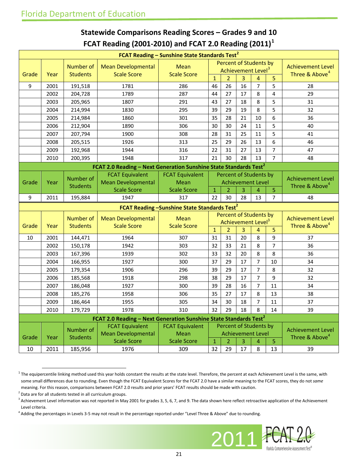|                                                                | FCAT Reading - Sunshine State Standards Test <sup>2</sup> |                            |                                                                               |                           |                    |                                |         |                |                         |                                  |
|----------------------------------------------------------------|-----------------------------------------------------------|----------------------------|-------------------------------------------------------------------------------|---------------------------|--------------------|--------------------------------|---------|----------------|-------------------------|----------------------------------|
|                                                                |                                                           |                            |                                                                               |                           |                    | Percent of Students by         |         |                |                         |                                  |
|                                                                |                                                           | <b>Number of</b>           | <b>Mean Developmental</b>                                                     | Mean                      |                    | Achievement Level <sup>3</sup> |         |                |                         | <b>Achievement Level</b>         |
| Grade                                                          | Year                                                      | <b>Students</b>            | <b>Scale Score</b>                                                            | <b>Scale Score</b>        | $\overline{1}$     | $\overline{2}$                 | 3       | 4              | 5                       | Three & Above <sup>4</sup>       |
| 9                                                              | 2001                                                      | 191,518                    | 1781                                                                          | 286                       | 46                 | 26                             | 16      | $\overline{7}$ | 5                       | 28                               |
|                                                                | 2002                                                      | 204,728                    | 1789                                                                          | 287                       | 44                 | 27                             | 17      | 8              | $\overline{\mathbf{4}}$ | 29                               |
|                                                                | 2003                                                      | 205,965                    | 1807                                                                          | 291                       | 43                 | 27                             | 18      | 8              | 5                       | 31                               |
|                                                                | 2004                                                      | 214,994                    | 1830                                                                          | 295                       | 39                 | 29                             | 19      | 8              | 5                       | 32                               |
|                                                                | 2005                                                      | 214,984                    | 1860                                                                          | 301                       | 35                 | 28                             | 21      | 10             | 6                       | 36                               |
|                                                                | 2006                                                      | 212,904                    | 1890                                                                          | 306                       | 30                 | 30                             | 24      | 11             | 5                       | 40                               |
|                                                                | 2007                                                      | 207,794                    | 1900                                                                          | 308                       | 28                 | 31                             | 25      | 11             | 5                       | 41                               |
|                                                                | 2008                                                      | 205,515                    | 1926                                                                          | 313                       | 25                 | 29                             | 26      | 13             | 6                       | 46                               |
|                                                                | 2009                                                      | 192,968                    | 1944                                                                          | 316                       | 22                 | 31                             | 27      | 13             | $\overline{7}$          | 47                               |
|                                                                | 2010                                                      | 200,395                    | 1948                                                                          | 317                       | 21                 | 30                             | 28      | 13             | $\overline{7}$          | 48                               |
|                                                                |                                                           |                            | FCAT 2.0 Reading - Next Generation Sunshine State Standards Test <sup>2</sup> |                           |                    |                                |         |                |                         |                                  |
|                                                                |                                                           | Number of                  | <b>FCAT Equivalent</b>                                                        | <b>FCAT Equivalent</b>    |                    | Percent of Students by         |         |                |                         | <b>Achievement Level</b>         |
| Grade                                                          | Year                                                      | <b>Students</b>            | <b>Mean Developmental</b>                                                     | Mean                      |                    | <b>Achievement Level</b>       |         |                |                         | Three & Above <sup>4</sup>       |
|                                                                |                                                           |                            | <b>Scale Score</b>                                                            | <b>Scale Score</b>        | $\mathbf{1}$       | $\overline{2}$                 | 3       | $\overline{4}$ | 5                       |                                  |
| 9                                                              | 2011                                                      | 195,884                    | 1947                                                                          | 317                       | 22                 | 30                             | 28      | 13             | $\overline{7}$          | 48                               |
| <b>FCAT Reading -Sunshine State Standards Test<sup>2</sup></b> |                                                           |                            |                                                                               |                           |                    |                                |         |                |                         |                                  |
|                                                                |                                                           |                            |                                                                               |                           |                    |                                |         |                |                         |                                  |
|                                                                |                                                           |                            |                                                                               |                           |                    | Percent of Students by         |         |                |                         |                                  |
|                                                                |                                                           | <b>Number of</b>           | <b>Mean Developmental</b>                                                     | Mean                      |                    | Achievement Level <sup>3</sup> |         |                |                         | <b>Achievement Level</b>         |
| Grade                                                          | Year                                                      | <b>Students</b>            | <b>Scale Score</b>                                                            | <b>Scale Score</b>        | $\mathbf{1}$       | $\overline{2}$                 | 3       | 4              | 5                       | Three & Above <sup>4</sup>       |
| 10                                                             | 2001                                                      | 144,471                    | 1964                                                                          | 307                       | 31                 | 31                             | 20      | 8              | 9                       | 37                               |
|                                                                | 2002                                                      | 150,178                    | 1942                                                                          | 303                       | 32                 | 33                             | 21      | 8              | $\overline{7}$          | 36                               |
|                                                                | 2003                                                      | 167,396                    | 1939                                                                          | 302                       | 33                 | 32                             | 20      | 8              | 8                       | 36                               |
|                                                                | 2004                                                      | 166,955                    | 1927                                                                          | 300                       | 37                 | 29                             | 17      | $\overline{7}$ | 10                      | 34                               |
|                                                                | 2005                                                      | 179,354                    | 1906                                                                          | 296                       | 39                 | 29                             | 17      | $\overline{7}$ | 8                       | 32                               |
|                                                                | 2006                                                      | 185,568                    | 1918                                                                          | 298                       | 38                 | 29                             | 17      | $\overline{7}$ | 9                       | 32                               |
|                                                                | 2007                                                      | 186,048                    | 1927                                                                          | 300                       | 39                 | 28                             | 16      | $\overline{7}$ | 11                      | 34                               |
|                                                                | 2008                                                      | 185,276                    | 1958                                                                          | 306                       | 35                 | 27                             | 17      | 8              | 13                      | 38                               |
|                                                                | 2009                                                      | 186,464                    | 1955                                                                          | 305                       | 34                 | 30                             | 18      | $\overline{7}$ | 11                      | 37                               |
|                                                                | 2010                                                      | 179,729                    | 1978                                                                          | 310                       | 32                 | 29                             | 18      | 8              | 14                      | 39                               |
|                                                                |                                                           |                            | FCAT 2.0 Reading - Next Generation Sunshine State Standards Test <sup>2</sup> |                           |                    |                                |         |                |                         |                                  |
|                                                                |                                                           |                            | <b>FCAT Equivalent</b>                                                        | <b>FCAT Equivalent</b>    |                    | Percent of Students by         |         |                |                         |                                  |
|                                                                |                                                           | Number of                  | <b>Mean Developmental</b>                                                     | Mean                      |                    | <b>Achievement Level</b>       |         |                |                         | <b>Achievement Level</b>         |
| Grade<br>10                                                    | Year<br>2011                                              | <b>Students</b><br>185,956 | <b>Scale Score</b><br>1976                                                    | <b>Scale Score</b><br>309 | $\mathbf{1}$<br>32 | $\overline{2}$<br>29           | 3<br>17 | 4<br>8         | 5<br>13                 | Three & Above <sup>4</sup><br>39 |

### **Statewide Comparisons Reading Scores – Grades 9 and 10 FCAT Reading (2001-2010) and FCAT 2.0 Reading (2011) [1](#page-20-0)**

<span id="page-20-3"></span><sup>4</sup> Adding the percentages in Levels 3-5 may not result in the percentage reported under "Level Three & Above" due to rounding.



<span id="page-20-0"></span> $1$  The equipercentile linking method used this year holds constant the results at the state level. Therefore, the percent at each Achievement Level is the same, with some small differences due to rounding. Even though the FCAT Equivalent Scores for the FCAT 2.0 have a similar meaning to the FCAT scores, they do not *same* meaning. For this reason, comparisons between FCAT 2.0 results and prior years' FCAT results should be made with caution.

<span id="page-20-1"></span> $2$  Data are for all students tested in all curriculum groups.

<span id="page-20-2"></span> $3$  Achievement Level information was not reported in May 2001 for grades 3, 5, 6, 7, and 9. The data shown here reflect retroactive application of the Achievement Level criteria.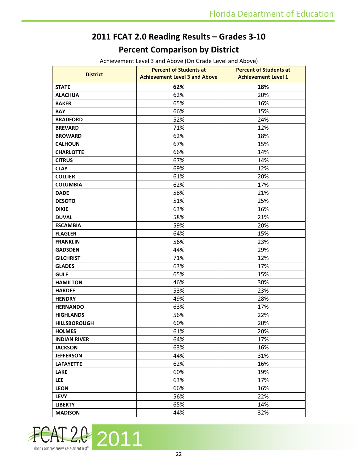# **2011 FCAT 2.0 Reading Results – Grades 3-10 Percent Comparison by District**

Achievement Level 3 and Above (On Grade Level and Above)

|                     | <b>Percent of Students at</b>        | <b>Percent of Students at</b> |
|---------------------|--------------------------------------|-------------------------------|
| <b>District</b>     | <b>Achievement Level 3 and Above</b> | <b>Achievement Level 1</b>    |
| <b>STATE</b>        | 62%                                  | 18%                           |
| <b>ALACHUA</b>      | 62%                                  | 20%                           |
| <b>BAKER</b>        | 65%                                  | 16%                           |
| <b>BAY</b>          | 66%                                  | 15%                           |
| <b>BRADFORD</b>     | 52%                                  | 24%                           |
| <b>BREVARD</b>      | 71%                                  | 12%                           |
| <b>BROWARD</b>      | 62%                                  | 18%                           |
| <b>CALHOUN</b>      | 67%                                  | 15%                           |
| <b>CHARLOTTE</b>    | 66%                                  | 14%                           |
| <b>CITRUS</b>       | 67%                                  | 14%                           |
| <b>CLAY</b>         | 69%                                  | 12%                           |
| <b>COLLIER</b>      | 61%                                  | 20%                           |
| <b>COLUMBIA</b>     | 62%                                  | 17%                           |
| <b>DADE</b>         | 58%                                  | 21%                           |
| <b>DESOTO</b>       | 51%                                  | 25%                           |
| <b>DIXIE</b>        | 63%                                  | 16%                           |
| <b>DUVAL</b>        | 58%                                  | 21%                           |
| <b>ESCAMBIA</b>     | 59%                                  | 20%                           |
| <b>FLAGLER</b>      | 64%                                  | 15%                           |
| <b>FRANKLIN</b>     | 56%                                  | 23%                           |
| <b>GADSDEN</b>      | 44%                                  | 29%                           |
| <b>GILCHRIST</b>    | 71%                                  | 12%                           |
| <b>GLADES</b>       | 63%                                  | 17%                           |
| <b>GULF</b>         | 65%                                  | 15%                           |
| <b>HAMILTON</b>     | 46%                                  | 30%                           |
| <b>HARDEE</b>       | 53%                                  | 23%                           |
| <b>HENDRY</b>       | 49%                                  | 28%                           |
| <b>HERNANDO</b>     | 63%                                  | 17%                           |
| <b>HIGHLANDS</b>    | 56%                                  | 22%                           |
| <b>HILLSBOROUGH</b> | 60%                                  | 20%                           |
| <b>HOLMES</b>       | 61%                                  | 20%                           |
| <b>INDIAN RIVER</b> | 64%                                  | 17%                           |
| <b>JACKSON</b>      | 63%                                  | 16%                           |
| <b>JEFFERSON</b>    | 44%                                  | 31%                           |
| <b>LAFAYETTE</b>    | 62%                                  | 16%                           |
| <b>LAKE</b>         | 60%                                  | 19%                           |
| <b>LEE</b>          | 63%                                  | 17%                           |
| <b>LEON</b>         | 66%                                  | 16%                           |
| <b>LEVY</b>         | 56%                                  | 22%                           |
| <b>LIBERTY</b>      | 65%                                  | 14%                           |
| <b>MADISON</b>      | 44%                                  | 32%                           |

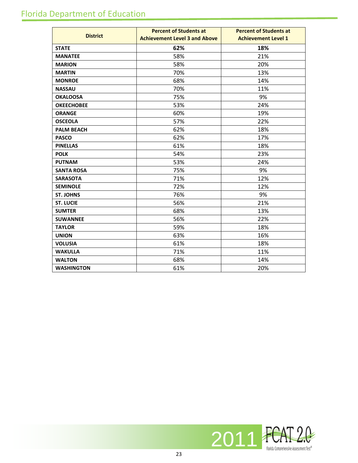# Florida Department of Education

|                   | <b>Percent of Students at</b>        | <b>Percent of Students at</b> |
|-------------------|--------------------------------------|-------------------------------|
| <b>District</b>   | <b>Achievement Level 3 and Above</b> | <b>Achievement Level 1</b>    |
| <b>STATE</b>      | 62%                                  | 18%                           |
| <b>MANATEE</b>    | 58%                                  | 21%                           |
| <b>MARION</b>     | 58%                                  | 20%                           |
| <b>MARTIN</b>     | 70%                                  | 13%                           |
| <b>MONROE</b>     | 68%                                  | 14%                           |
| <b>NASSAU</b>     | 70%                                  | 11%                           |
| <b>OKALOOSA</b>   | 75%                                  | 9%                            |
| <b>OKEECHOBEE</b> | 53%                                  | 24%                           |
| <b>ORANGE</b>     | 60%                                  | 19%                           |
| <b>OSCEOLA</b>    | 57%                                  | 22%                           |
| <b>PALM BEACH</b> | 62%                                  | 18%                           |
| <b>PASCO</b>      | 62%                                  | 17%                           |
| <b>PINELLAS</b>   | 61%                                  | 18%                           |
| <b>POLK</b>       | 54%                                  | 23%                           |
| <b>PUTNAM</b>     | 53%                                  | 24%                           |
| <b>SANTA ROSA</b> | 75%                                  | 9%                            |
| <b>SARASOTA</b>   | 71%                                  | 12%                           |
| <b>SEMINOLE</b>   | 72%                                  | 12%                           |
| <b>ST. JOHNS</b>  | 76%                                  | 9%                            |
| <b>ST. LUCIE</b>  | 56%                                  | 21%                           |
| <b>SUMTER</b>     | 68%                                  | 13%                           |
| <b>SUWANNEE</b>   | 56%                                  | 22%                           |
| <b>TAYLOR</b>     | 59%                                  | 18%                           |
| <b>UNION</b>      | 63%                                  | 16%                           |
| <b>VOLUSIA</b>    | 61%                                  | 18%                           |
| <b>WAKULLA</b>    | 71%                                  | 11%                           |
| <b>WALTON</b>     | 68%                                  | 14%                           |
| <b>WASHINGTON</b> | 61%                                  | 20%                           |

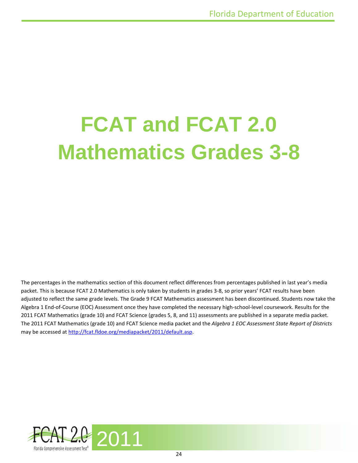# **FCAT and FCAT 2.0 Mathematics Grades 3-8**

The percentages in the mathematics section of this document reflect differences from percentages published in last year's media packet. This is because FCAT 2.0 Mathematics is only taken by students in grades 3-8, so prior years' FCAT results have been adjusted to reflect the same grade levels. The Grade 9 FCAT Mathematics assessment has been discontinued. Students now take the Algebra 1 End-of-Course (EOC) Assessment once they have completed the necessary high-school-level coursework. Results for the 2011 FCAT Mathematics (grade 10) and FCAT Science (grades 5, 8, and 11) assessments are published in a separate media packet. The 2011 FCAT Mathematics (grade 10) and FCAT Science media packet and the *Algebra 1 EOC Assessment State Report of Districts* may be accessed at [http://fcat.fldoe.org/mediapacket/2011/default.asp.](http://fcat.fldoe.org/mediapacket/2011/default.asp)

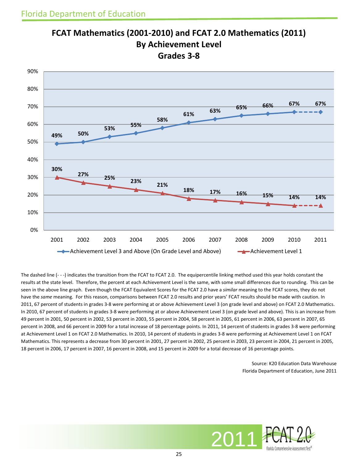

### **FCAT Mathematics (2001-2010) and FCAT 2.0 Mathematics (2011) By Achievement Level Grades 3-8**

The dashed line (- - -) indicates the transition from the FCAT to FCAT 2.0. The equipercentile linking method used this year holds constant the results at the state level. Therefore, the percent at each Achievement Level is the same, with some small differences due to rounding. This can be seen in the above line graph. Even though the FCAT Equivalent Scores for the FCAT 2.0 have a *similar* meaning to the FCAT scores, they do not have the *same* meaning. For this reason, comparisons between FCAT 2.0 results and prior years' FCAT results should be made with caution. In 2011, 67 percent of students in grades 3-8 were performing at or above Achievement Level 3 (on grade level and above) on FCAT 2.0 Mathematics. In 2010, 67 percent of students in grades 3-8 were performing at or above Achievement Level 3 (on grade level and above). This is an increase from 49 percent in 2001, 50 percent in 2002, 53 percent in 2003, 55 percent in 2004, 58 percent in 2005, 61 percent in 2006, 63 percent in 2007, 65 percent in 2008, and 66 percent in 2009 for a total increase of 18 percentage points. In 2011, 14 percent of students in grades 3-8 were performing at Achievement Level 1 on FCAT 2.0 Mathematics. In 2010, 14 percent of students in grades 3-8 were performing at Achievement Level 1 on FCAT Mathematics. This represents a decrease from 30 percent in 2001, 27 percent in 2002, 25 percent in 2003, 23 percent in 2004, 21 percent in 2005, 18 percent in 2006, 17 percent in 2007, 16 percent in 2008, and 15 percent in 2009 for a total decrease of 16 percentage points.

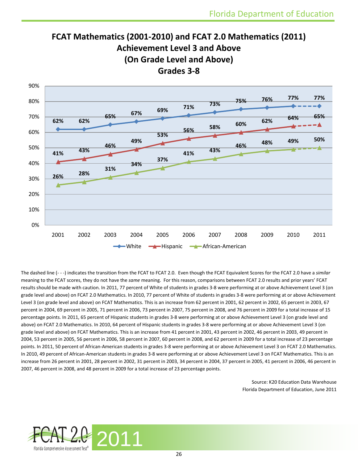## **FCAT Mathematics (2001-2010) and FCAT 2.0 Mathematics (2011) Achievement Level 3 and Above (On Grade Level and Above) Grades 3-8**



The dashed line (- - -) indicates the transition from the FCAT to FCAT 2.0. Even though the FCAT Equivalent Scores for the FCAT 2.0 have a *similar*  meaning to the FCAT scores, they do not have the *same* meaning. For this reason, comparisons between FCAT 2.0 results and prior years' FCAT results should be made with caution. In 2011, 77 percent of White of students in grades 3-8 were performing at or above Achievement Level 3 (on grade level and above) on FCAT 2.0 Mathematics. In 2010, 77 percent of White of students in grades 3-8 were performing at or above Achievement Level 3 (on grade level and above) on FCAT Mathematics. This is an increase from 62 percent in 2001, 62 percent in 2002, 65 percent in 2003, 67 percent in 2004, 69 percent in 2005, 71 percent in 2006, 73 percent in 2007, 75 percent in 2008, and 76 percent in 2009 for a total increase of 15 percentage points. In 2011, 65 percent of Hispanic students in grades 3-8 were performing at or above Achievement Level 3 (on grade level and above) on FCAT 2.0 Mathematics. In 2010, 64 percent of Hispanic students in grades 3-8 were performing at or above Achievement Level 3 (on grade level and above) on FCAT Mathematics. This is an increase from 41 percent in 2001, 43 percent in 2002, 46 percent in 2003, 49 percent in 2004, 53 percent in 2005, 56 percent in 2006, 58 percent in 2007, 60 percent in 2008, and 62 percent in 2009 for a total increase of 23 percentage points. In 2011, 50 percent of African-American students in grades 3-8 were performing at or above Achievement Level 3 on FCAT 2.0 Mathematics. In 2010, 49 percent of African-American students in grades 3-8 were performing at or above Achievement Level 3 on FCAT Mathematics. This is an increase from 26 percent in 2001, 28 percent in 2002, 31 percent in 2003, 34 percent in 2004, 37 percent in 2005, 41 percent in 2006, 46 percent in 2007, 46 percent in 2008, and 48 percent in 2009 for a total increase of 23 percentage points.

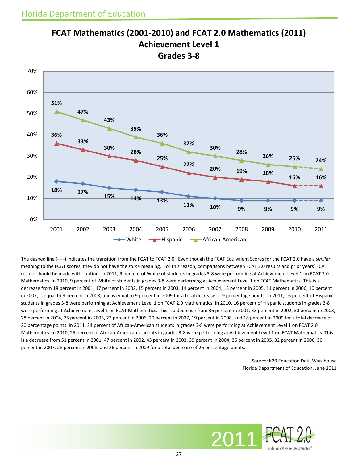

#### **FCAT Mathematics (2001-2010) and FCAT 2.0 Mathematics (2011) Achievement Level 1 Grades 3-8**

The dashed line (- - -) indicates the transition from the FCAT to FCAT 2.0. Even though the FCAT Equivalent Scores for the FCAT 2.0 have a *similar*  meaning to the FCAT scores, they do not have the *same* meaning. For this reason, comparisons between FCAT 2.0 results and prior years' FCAT results should be made with caution. In 2011, 9 percent of White of students in grades 3-8 were performing at Achievement Level 1 on FCAT 2.0 Mathematics. In 2010, 9 percent of White of students in grades 3-8 were performing at Achievement Level 1 on FCAT Mathematics. This is a decrease from 18 percent in 2001, 17 percent in 2002, 15 percent in 2003, 14 percent in 2004, 13 percent in 2005, 11 percent in 2006, 10 percent in 2007, is equal to 9 percent in 2008, and is equal to 9 percent in 2009 for a total decrease of 9 percentage points. In 2011, 16 percent of Hispanic students in grades 3-8 were performing at Achievement Level 1 on FCAT 2.0 Mathematics. In 2010, 16 percent of Hispanic students in grades 3-8 were performing at Achievement Level 1 on FCAT Mathematics. This is a decrease from 36 percent in 2001, 33 percent in 2002, 30 percent in 2003, 28 percent in 2004, 25 percent in 2005, 22 percent in 2006, 20 percent in 2007, 19 percent in 2008, and 18 percent in 2009 for a total decrease of 20 percentage points. In 2011, 24 percent of African-American students in grades 3-8 were performing at Achievement Level 1 on FCAT 2.0 Mathematics. In 2010, 25 percent of African-American students in grades 3-8 were performing at Achievement Level 1 on FCAT Mathematics. This is a decrease from 51 percent in 2001, 47 percent in 2002, 43 percent in 2003, 39 percent in 2004, 36 percent in 2005, 32 percent in 2006, 30 percent in 2007, 28 percent in 2008, and 26 percent in 2009 for a total decrease of 26 percentage points.

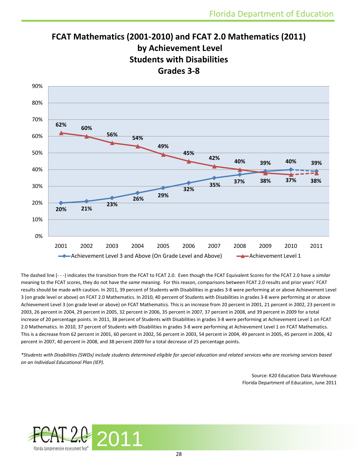## **FCAT Mathematics (2001-2010) and FCAT 2.0 Mathematics (2011) by Achievement Level Students with Disabilities Grades 3-8**



The dashed line (- - -) indicates the transition from the FCAT to FCAT 2.0. Even though the FCAT Equivalent Scores for the FCAT 2.0 have a *similar*  meaning to the FCAT scores, they do not have the *same* meaning. For this reason, comparisons between FCAT 2.0 results and prior years' FCAT results should be made with caution. In 2011, 39 percent of Students with Disabilities in grades 3-8 were performing at or above Achievement Level 3 (on grade level or above) on FCAT 2.0 Mathematics. In 2010, 40 percent of Students with Disabilities in grades 3-8 were performing at or above Achievement Level 3 (on grade level or above) on FCAT Mathematics. This is an increase from 20 percent in 2001, 21 percent in 2002, 23 percent in 2003, 26 percent in 2004, 29 percent in 2005, 32 percent in 2006, 35 percent in 2007, 37 percent in 2008, and 39 percent in 2009 for a total increase of 20 percentage points. In 2011, 38 percent of Students with Disabilities in grades 3-8 were performing at Achievement Level 1 on FCAT 2.0 Mathematics. In 2010, 37 percent of Students with Disabilities in grades 3-8 were performing at Achievement Level 1 on FCAT Mathematics. This is a decrease from 62 percent in 2001, 60 percent in 2002, 56 percent in 2003, 54 percent in 2004, 49 percent in 2005, 45 percent in 2006, 42 percent in 2007, 40 percent in 2008, and 38 percent 2009 for a total decrease of 25 percentage points.

*\*Students with Disabilities (SWDs) include students determined eligible for special education and related services who are receiving services based on an Individual Educational Plan (IEP).*

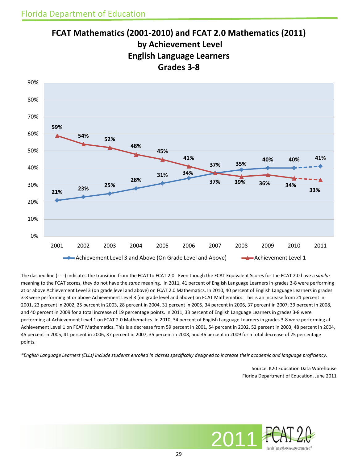

**FCAT Mathematics (2001-2010) and FCAT 2.0 Mathematics (2011) by Achievement Level English Language Learners Grades 3-8**

The dashed line (- - -) indicates the transition from the FCAT to FCAT 2.0. Even though the FCAT Equivalent Scores for the FCAT 2.0 have a *similar*  meaning to the FCAT scores, they do not have the *same* meaning. In 2011, 41 percent of English Language Learners in grades 3-8 were performing at or above Achievement Level 3 (on grade level and above) on FCAT 2.0 Mathematics. In 2010, 40 percent of English Language Learners in grades 3-8 were performing at or above Achievement Level 3 (on grade level and above) on FCAT Mathematics. This is an increase from 21 percent in 2001, 23 percent in 2002, 25 percent in 2003, 28 percent in 2004, 31 percent in 2005, 34 percent in 2006, 37 percent in 2007, 39 percent in 2008, and 40 percent in 2009 for a total increase of 19 percentage points. In 2011, 33 percent of English Language Learners in grades 3-8 were performing at Achievement Level 1 on FCAT 2.0 Mathematics. In 2010, 34 percent of English Language Learners in grades 3-8 were performing at Achievement Level 1 on FCAT Mathematics. This is a decrease from 59 percent in 2001, 54 percent in 2002, 52 percent in 2003, 48 percent in 2004, 45 percent in 2005, 41 percent in 2006, 37 percent in 2007, 35 percent in 2008, and 36 percent in 2009 for a total decrease of 25 percentage points.

*\*English Language Learners (ELLs) include students enrolled in classes specifically designed to increase their academic and language proficiency.*

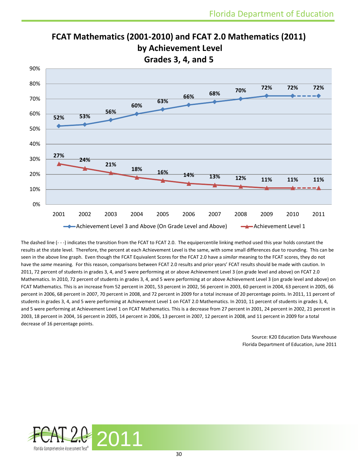

**FCAT Mathematics (2001-2010) and FCAT 2.0 Mathematics (2011) by Achievement Level Grades 3, 4, and 5**

The dashed line (- - -) indicates the transition from the FCAT to FCAT 2.0. The equipercentile linking method used this year holds constant the results at the state level. Therefore, the percent at each Achievement Level is the same, with some small differences due to rounding. This can be seen in the above line graph. Even though the FCAT Equivalent Scores for the FCAT 2.0 have a *similar* meaning to the FCAT scores, they do not have the *same* meaning. For this reason, comparisons between FCAT 2.0 results and prior years' FCAT results should be made with caution. In 2011, 72 percent of students in grades 3, 4, and 5 were performing at or above Achievement Level 3 (on grade level and above) on FCAT 2.0 Mathematics. In 2010, 72 percent of students in grades 3, 4, and 5 were performing at or above Achievement Level 3 (on grade level and above) on FCAT Mathematics. This is an increase from 52 percent in 2001, 53 percent in 2002, 56 percent in 2003, 60 percent in 2004, 63 percent in 2005, 66 percent in 2006, 68 percent in 2007, 70 percent in 2008, and 72 percent in 2009 for a total increase of 20 percentage points. In 2011, 11 percent of students in grades 3, 4, and 5 were performing at Achievement Level 1 on FCAT 2.0 Mathematics. In 2010, 11 percent of students in grades 3, 4, and 5 were performing at Achievement Level 1 on FCAT Mathematics. This is a decrease from 27 percent in 2001, 24 percent in 2002, 21 percent in 2003, 18 percent in 2004, 16 percent in 2005, 14 percent in 2006, 13 percent in 2007, 12 percent in 2008, and 11 percent in 2009 for a total decrease of 16 percentage points.

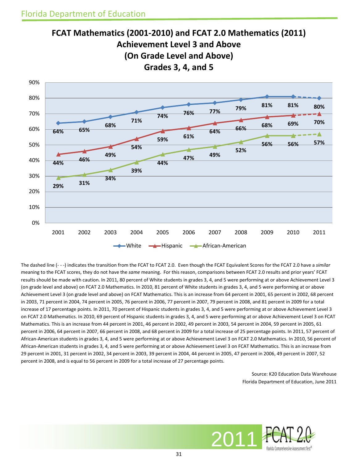

The dashed line (- - -) indicates the transition from the FCAT to FCAT 2.0. Even though the FCAT Equivalent Scores for the FCAT 2.0 have a *similar*  meaning to the FCAT scores, they do not have the *same* meaning. For this reason, comparisons between FCAT 2.0 results and prior years' FCAT results should be made with caution. In 2011, 80 percent of White students in grades 3, 4, and 5 were performing at or above Achievement Level 3 (on grade level and above) on FCAT 2.0 Mathematics. In 2010, 81 percent of White students in grades 3, 4, and 5 were performing at or above Achievement Level 3 (on grade level and above) on FCAT Mathematics. This is an increase from 64 percent in 2001, 65 percent in 2002, 68 percent in 2003, 71 percent in 2004, 74 percent in 2005, 76 percent in 2006, 77 percent in 2007, 79 percent in 2008, and 81 percent in 2009 for a total increase of 17 percentage points. In 2011, 70 percent of Hispanic students in grades 3, 4, and 5 were performing at or above Achievement Level 3 on FCAT 2.0 Mathematics. In 2010, 69 percent of Hispanic students in grades 3, 4, and 5 were performing at or above Achievement Level 3 on FCAT Mathematics. This is an increase from 44 percent in 2001, 46 percent in 2002, 49 percent in 2003, 54 percent in 2004, 59 percent in 2005, 61 percent in 2006, 64 percent in 2007, 66 percent in 2008, and 68 percent in 2009 for a total increase of 25 percentage points. In 2011, 57 percent of African-American students in grades 3, 4, and 5 were performing at or above Achievement Level 3 on FCAT 2.0 Mathematics. In 2010, 56 percent of African-American students in grades 3, 4, and 5 were performing at or above Achievement Level 3 on FCAT Mathematics. This is an increase from 29 percent in 2001, 31 percent in 2002, 34 percent in 2003, 39 percent in 2004, 44 percent in 2005, 47 percent in 2006, 49 percent in 2007, 52 percent in 2008, and is equal to 56 percent in 2009 for a total increase of 27 percentage points.

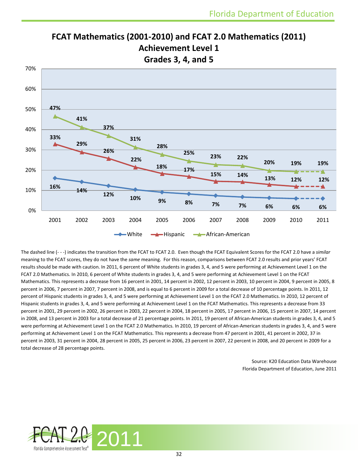

**FCAT Mathematics (2001-2010) and FCAT 2.0 Mathematics (2011) Achievement Level 1 Grades 3, 4, and 5**

The dashed line (- - -) indicates the transition from the FCAT to FCAT 2.0. Even though the FCAT Equivalent Scores for the FCAT 2.0 have a *similar*  meaning to the FCAT scores, they do not have the *same* meaning. For this reason, comparisons between FCAT 2.0 results and prior years' FCAT results should be made with caution. In 2011, 6 percent of White students in grades 3, 4, and 5 were performing at Achievement Level 1 on the FCAT 2.0 Mathematics. In 2010, 6 percent of White students in grades 3, 4, and 5 were performing at Achievement Level 1 on the FCAT Mathematics. This represents a decrease from 16 percent in 2001, 14 percent in 2002, 12 percent in 2003, 10 percent in 2004, 9 percent in 2005, 8 percent in 2006, 7 percent in 2007, 7 percent in 2008, and is equal to 6 percent in 2009 for a total decrease of 10 percentage points. In 2011, 12 percent of Hispanic students in grades 3, 4, and 5 were performing at Achievement Level 1 on the FCAT 2.0 Mathematics. In 2010, 12 percent of Hispanic students in grades 3, 4, and 5 were performing at Achievement Level 1 on the FCAT Mathematics. This represents a decrease from 33 percent in 2001, 29 percent in 2002, 26 percent in 2003, 22 percent in 2004, 18 percent in 2005, 17 percent in 2006, 15 percent in 2007, 14 percent in 2008, and 13 percent in 2003 for a total decrease of 21 percentage points. In 2011, 19 percent of African-American students in grades 3, 4, and 5 were performing at Achievement Level 1 on the FCAT 2.0 Mathematics. In 2010, 19 percent of African-American students in grades 3, 4, and 5 were performing at Achievement Level 1 on the FCAT Mathematics. This represents a decrease from 47 percent in 2001, 41 percent in 2002, 37 in percent in 2003, 31 percent in 2004, 28 percent in 2005, 25 percent in 2006, 23 percent in 2007, 22 percent in 2008, and 20 percent in 2009 for a total decrease of 28 percentage points.

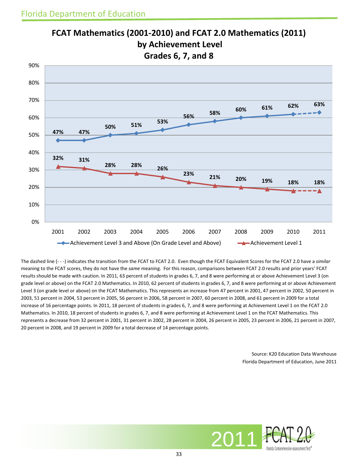

**FCAT Mathematics (2001-2010) and FCAT 2.0 Mathematics (2011) by Achievement Level Grades 6, 7, and 8**

The dashed line (- - -) indicates the transition from the FCAT to FCAT 2.0. Even though the FCAT Equivalent Scores for the FCAT 2.0 have a *similar*  meaning to the FCAT scores, they do not have the *same* meaning. For this reason, comparisons between FCAT 2.0 results and prior years' FCAT results should be made with caution. In 2011, 63 percent of students in grades 6, 7, and 8 were performing at or above Achievement Level 3 (on grade level or above) on the FCAT 2.0 Mathematics. In 2010, 62 percent of students in grades 6, 7, and 8 were performing at or above Achievement Level 3 (on grade level or above) on the FCAT Mathematics. This represents an increase from 47 percent in 2001, 47 percent in 2002, 50 percent in 2003, 51 percent in 2004, 53 percent in 2005, 56 percent in 2006, 58 percent in 2007, 60 percent in 2008, and 61 percent in 2009 for a total increase of 16 percentage points. In 2011, 18 percent of students in grades 6, 7, and 8 were performing at Achievement Level 1 on the FCAT 2.0 Mathematics. In 2010, 18 percent of students in grades 6, 7, and 8 were performing at Achievement Level 1 on the FCAT Mathematics. This represents a decrease from 32 percent in 2001, 31 percent in 2002, 28 percent in 2004, 26 percent in 2005, 23 percent in 2006, 21 percent in 2007, 20 percent in 2008, and 19 percent in 2009 for a total decrease of 14 percentage points.

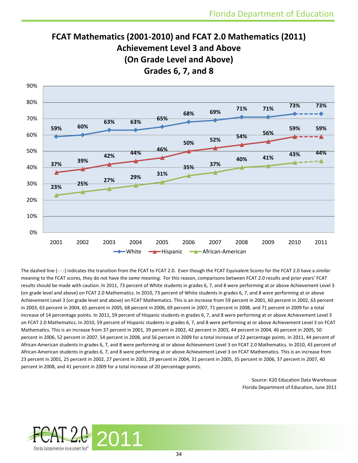# **FCAT Mathematics (2001-2010) and FCAT 2.0 Mathematics (2011) Achievement Level 3 and Above (On Grade Level and Above) Grades 6, 7, and 8**



The dashed line (- - -) indicates the transition from the FCAT to FCAT 2.0. Even though the FCAT Equivalent Scores for the FCAT 2.0 have a *similar*  meaning to the FCAT scores, they do not have the *same* meaning. For this reason, comparisons between FCAT 2.0 results and prior years' FCAT results should be made with caution. In 2011, 73 percent of White students in grades 6, 7, and 8 were performing at or above Achievement Level 3 (on grade level and above) on FCAT 2.0 Mathematics. In 2010, 73 percent of White students in grades 6, 7, and 8 were performing at or above Achievement Level 3 (on grade level and above) on FCAT Mathematics. This is an increase from 59 percent in 2001, 60 percent in 2002, 63 percent in 2003, 63 percent in 2004, 65 percent in 2005, 68 percent in 2006, 69 percent in 2007, 71 percent in 2008, and 71 percent in 2009 for a total increase of 14 percentage points. In 2011, 59 percent of Hispanic students in grades 6, 7, and 8 were performing at or above Achievement Level 3 on FCAT 2.0 Mathematics. In 2010, 59 percent of Hispanic students in grades 6, 7, and 8 were performing at or above Achievement Level 3 on FCAT Mathematics. This is an increase from 37 percent in 2001, 39 percent in 2002, 42 percent in 2003, 44 percent in 2004, 46 percent in 2005, 50 percent in 2006, 52 percent in 2007, 54 percent in 2008, and 56 percent in 2009 for a total increase of 22 percentage points. In 2011, 44 percent of African-American students in grades 6, 7, and 8 were performing at or above Achievement Level 3 on FCAT 2.0 Mathematics. In 2010, 43 percent of African-American students in grades 6, 7, and 8 were performing at or above Achievement Level 3 on FCAT Mathematics. This is an increase from 23 percent in 2001, 25 percent in 2002, 27 percent in 2003, 29 percent in 2004, 31 percent in 2005, 35 percent in 2006, 37 percent in 2007, 40 percent in 2008, and 41 percent in 2009 for a total increase of 20 percentage points.

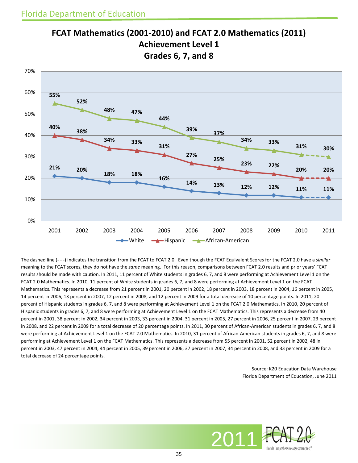

**FCAT Mathematics (2001-2010) and FCAT 2.0 Mathematics (2011) Achievement Level 1 Grades 6, 7, and 8**

The dashed line (- - -) indicates the transition from the FCAT to FCAT 2.0. Even though the FCAT Equivalent Scores for the FCAT 2.0 have a *similar*  meaning to the FCAT scores, they do not have the *same* meaning. For this reason, comparisons between FCAT 2.0 results and prior years' FCAT results should be made with caution. In 2011, 11 percent of White students in grades 6, 7, and 8 were performing at Achievement Level 1 on the FCAT 2.0 Mathematics. In 2010, 11 percent of White students in grades 6, 7, and 8 were performing at Achievement Level 1 on the FCAT Mathematics. This represents a decrease from 21 percent in 2001, 20 percent in 2002, 18 percent in 2003, 18 percent in 2004, 16 percent in 2005, 14 percent in 2006, 13 percent in 2007, 12 percent in 2008, and 12 percent in 2009 for a total decrease of 10 percentage points. In 2011, 20 percent of Hispanic students in grades 6, 7, and 8 were performing at Achievement Level 1 on the FCAT 2.0 Mathematics. In 2010, 20 percent of Hispanic students in grades 6, 7, and 8 were performing at Achievement Level 1 on the FCAT Mathematics. This represents a decrease from 40 percent in 2001, 38 percent in 2002, 34 percent in 2003, 33 percent in 2004, 31 percent in 2005, 27 percent in 2006, 25 percent in 2007, 23 percent in 2008, and 22 percent in 2009 for a total decrease of 20 percentage points. In 2011, 30 percent of African-American students in grades 6, 7, and 8 were performing at Achievement Level 1 on the FCAT 2.0 Mathematics. In 2010, 31 percent of African-American students in grades 6, 7, and 8 were performing at Achievement Level 1 on the FCAT Mathematics. This represents a decrease from 55 percent in 2001, 52 percent in 2002, 48 in percent in 2003, 47 percent in 2004, 44 percent in 2005, 39 percent in 2006, 37 percent in 2007, 34 percent in 2008, and 33 percent in 2009 for a total decrease of 24 percentage points.

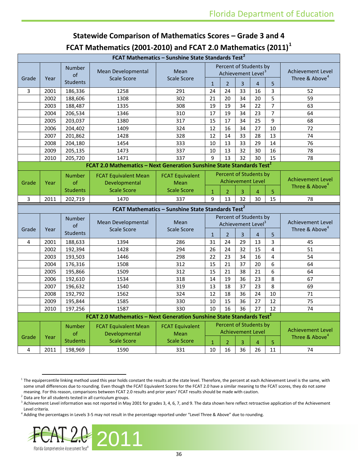### **Statewide Comparison of Mathematics Scores – Grade 3 and 4 FCAT Mathematics (2001-2010) and FCAT 2.0 Mathematics (2011)[1](#page-35-0)**

| Percent of Students by<br><b>Number</b><br>Mean Developmental<br>Mean<br><b>Achievement Level</b><br>Achievement Level <sup>3</sup><br>of<br>Three & Above <sup>4</sup><br><b>Scale Score</b><br>Grade<br>Year<br><b>Scale Score</b><br><b>Students</b><br>$\overline{3}$<br>$\mathbf{1}$<br>$\overline{2}$<br>$\overline{4}$<br>5<br>24<br>33<br>3<br>2001<br>1258<br>24<br>16<br>52<br>3<br>186,336<br>291<br>5<br>302<br>59<br>2002<br>188,606<br>1308<br>21<br>20<br>34<br>20<br>$\overline{7}$<br>$\overline{22}$<br>2003<br>19<br>19<br>34<br>63<br>188,487<br>1335<br>308<br>$\overline{7}$<br>2004<br>310<br>17<br>19<br>34<br>23<br>64<br>206,534<br>1346<br>9<br>17<br>25<br>2005<br>1380<br>317<br>15<br>34<br>68<br>203,037<br>16<br>27<br>10<br>2006<br>204,402<br>1409<br>324<br>12<br>34<br>72 |  |
|---------------------------------------------------------------------------------------------------------------------------------------------------------------------------------------------------------------------------------------------------------------------------------------------------------------------------------------------------------------------------------------------------------------------------------------------------------------------------------------------------------------------------------------------------------------------------------------------------------------------------------------------------------------------------------------------------------------------------------------------------------------------------------------------------------------|--|
|                                                                                                                                                                                                                                                                                                                                                                                                                                                                                                                                                                                                                                                                                                                                                                                                               |  |
|                                                                                                                                                                                                                                                                                                                                                                                                                                                                                                                                                                                                                                                                                                                                                                                                               |  |
|                                                                                                                                                                                                                                                                                                                                                                                                                                                                                                                                                                                                                                                                                                                                                                                                               |  |
|                                                                                                                                                                                                                                                                                                                                                                                                                                                                                                                                                                                                                                                                                                                                                                                                               |  |
|                                                                                                                                                                                                                                                                                                                                                                                                                                                                                                                                                                                                                                                                                                                                                                                                               |  |
|                                                                                                                                                                                                                                                                                                                                                                                                                                                                                                                                                                                                                                                                                                                                                                                                               |  |
|                                                                                                                                                                                                                                                                                                                                                                                                                                                                                                                                                                                                                                                                                                                                                                                                               |  |
|                                                                                                                                                                                                                                                                                                                                                                                                                                                                                                                                                                                                                                                                                                                                                                                                               |  |
| 328<br>12<br>14<br>33<br>28<br>13<br>74<br>2007<br>201,862<br>1428                                                                                                                                                                                                                                                                                                                                                                                                                                                                                                                                                                                                                                                                                                                                            |  |
| 29<br>14<br>76<br>2008<br>204,180<br>1454<br>333<br>10<br>13<br>33                                                                                                                                                                                                                                                                                                                                                                                                                                                                                                                                                                                                                                                                                                                                            |  |
| 2009<br>30<br>16<br>205,135<br>1473<br>337<br>10<br>13<br>32<br>78                                                                                                                                                                                                                                                                                                                                                                                                                                                                                                                                                                                                                                                                                                                                            |  |
| 9<br>337<br>13<br>32<br>30<br>2010<br>1471<br>15<br>78<br>205,720                                                                                                                                                                                                                                                                                                                                                                                                                                                                                                                                                                                                                                                                                                                                             |  |
| FCAT 2.0 Mathematics - Next Generation Sunshine State Standards Test <sup>2</sup>                                                                                                                                                                                                                                                                                                                                                                                                                                                                                                                                                                                                                                                                                                                             |  |
| Percent of Students by<br><b>Number</b><br><b>FCAT Equivalent</b><br><b>FCAT Equivalent Mean</b>                                                                                                                                                                                                                                                                                                                                                                                                                                                                                                                                                                                                                                                                                                              |  |
| <b>Achievement Level</b><br><b>Achievement Level</b><br>of<br>Developmental<br>Grade<br>Year<br>Mean                                                                                                                                                                                                                                                                                                                                                                                                                                                                                                                                                                                                                                                                                                          |  |
| Three & Above <sup>4</sup><br><b>Scale Score</b><br><b>Scale Score</b><br><b>Students</b><br>$\overline{2}$<br>3<br>$\mathbf{1}$<br>$\overline{4}$<br>5                                                                                                                                                                                                                                                                                                                                                                                                                                                                                                                                                                                                                                                       |  |
| 202,719<br>1470<br>9<br>13<br>32<br>30<br>15<br>78<br>3<br>2011<br>337                                                                                                                                                                                                                                                                                                                                                                                                                                                                                                                                                                                                                                                                                                                                        |  |
| FCAT Mathematics - Sunshine State Standards Test <sup>2</sup>                                                                                                                                                                                                                                                                                                                                                                                                                                                                                                                                                                                                                                                                                                                                                 |  |
| Percent of Students by<br>Number                                                                                                                                                                                                                                                                                                                                                                                                                                                                                                                                                                                                                                                                                                                                                                              |  |
| <b>Mean Developmental</b><br>Mean<br><b>Achievement Level</b><br>Achievement Level <sup>3</sup><br>of                                                                                                                                                                                                                                                                                                                                                                                                                                                                                                                                                                                                                                                                                                         |  |
| Three & Above <sup>4</sup><br><b>Scale Score</b><br><b>Scale Score</b><br>Grade<br>Year<br><b>Students</b><br>$\overline{2}$<br>3<br>$\mathbf{1}$<br>$\overline{4}$<br>5                                                                                                                                                                                                                                                                                                                                                                                                                                                                                                                                                                                                                                      |  |
| $\overline{29}$<br>31<br>24<br>13<br>3<br>2001<br>1394<br>286<br>45<br>4<br>188,633                                                                                                                                                                                                                                                                                                                                                                                                                                                                                                                                                                                                                                                                                                                           |  |
| 15<br>1428<br>26<br>24<br>32<br>$\overline{4}$<br>51<br>2002<br>192,394<br>294                                                                                                                                                                                                                                                                                                                                                                                                                                                                                                                                                                                                                                                                                                                                |  |
| $\overline{\mathbf{4}}$<br>2003<br>298<br>22<br>23<br>34<br>16<br>54<br>193,503<br>1446                                                                                                                                                                                                                                                                                                                                                                                                                                                                                                                                                                                                                                                                                                                       |  |
| 6<br>2004<br>176,316<br>1508<br>312<br>15<br>21<br>37<br>20<br>64                                                                                                                                                                                                                                                                                                                                                                                                                                                                                                                                                                                                                                                                                                                                             |  |
| 6<br>312<br>15<br>21<br>38<br>21<br>64<br>2005<br>195,866<br>1509                                                                                                                                                                                                                                                                                                                                                                                                                                                                                                                                                                                                                                                                                                                                             |  |
| 8<br>19<br>36<br>23<br>2006<br>1534<br>318<br>14<br>67<br>192,610                                                                                                                                                                                                                                                                                                                                                                                                                                                                                                                                                                                                                                                                                                                                             |  |
| $\overline{8}$<br>1540<br>319<br>13<br>18<br>37<br>23<br>69<br>2007<br>196,632                                                                                                                                                                                                                                                                                                                                                                                                                                                                                                                                                                                                                                                                                                                                |  |
| 10<br>1562<br>12<br>18<br>36<br>24<br>71<br>2008<br>192,792<br>324                                                                                                                                                                                                                                                                                                                                                                                                                                                                                                                                                                                                                                                                                                                                            |  |
| 12<br>2009<br>195,844<br>1585<br>330<br>10<br>15<br>36<br>27<br>75                                                                                                                                                                                                                                                                                                                                                                                                                                                                                                                                                                                                                                                                                                                                            |  |
| 1587<br>330<br>10<br>16<br>36<br>27<br>74<br>2010<br>197,256<br>12                                                                                                                                                                                                                                                                                                                                                                                                                                                                                                                                                                                                                                                                                                                                            |  |
| FCAT 2.0 Mathematics - Next Generation Sunshine State Standards Test <sup>2</sup>                                                                                                                                                                                                                                                                                                                                                                                                                                                                                                                                                                                                                                                                                                                             |  |
| Percent of Students by<br><b>Number</b><br><b>FCAT Equivalent</b><br><b>FCAT Equivalent Mean</b>                                                                                                                                                                                                                                                                                                                                                                                                                                                                                                                                                                                                                                                                                                              |  |
| <b>Achievement Level</b><br><b>Achievement Level</b><br>of<br>Developmental<br>Mean                                                                                                                                                                                                                                                                                                                                                                                                                                                                                                                                                                                                                                                                                                                           |  |
| Three & Above <sup>4</sup><br>Grade<br>Year<br><b>Students</b><br><b>Scale Score</b><br><b>Scale Score</b><br>$\overline{2}$<br>3<br>$\overline{5}$<br>$\mathbf{1}$<br>$\overline{a}$                                                                                                                                                                                                                                                                                                                                                                                                                                                                                                                                                                                                                         |  |
| 10<br>16<br>36<br>198,969<br>1590<br>26<br>11<br>74<br>4<br>2011<br>331                                                                                                                                                                                                                                                                                                                                                                                                                                                                                                                                                                                                                                                                                                                                       |  |

<span id="page-35-0"></span><sup>&</sup>lt;sup>1</sup> The equipercentile linking method used this year holds constant the results at the state level. Therefore, the percent at each Achievement Level is the same, with some small differences due to rounding. Even though the FCAT Equivalent Scores for the FCAT 2.0 have a similar meaning to the FCAT scores, they do not *same* meaning. For this reason, comparisons between FCAT 2.0 results and prior years' FCAT results should be made with caution.

ı

<span id="page-35-3"></span><sup>4</sup> Adding the percentages in Levels 3-5 may not result in the percentage reported under "Level Three & Above" due to rounding.



<span id="page-35-1"></span> $2$  Data are for all students tested in all curriculum groups.

<span id="page-35-2"></span> $3$  Achievement Level information was not reported in May 2001 for grades 3, 4, 6, 7, and 9. The data shown here reflect retroactive application of the Achievement Level criteria.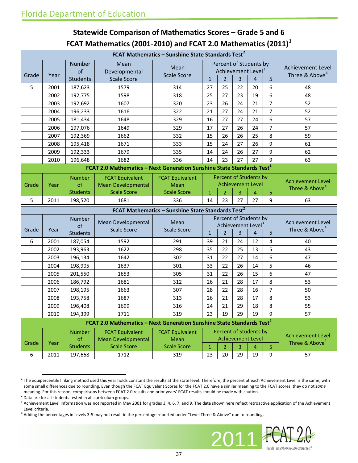### **Statewide Comparison of Mathematics Scores – Grade 5 and 6 FCAT Mathematics (2001**-**2010) and FCAT 2.0 Mathematics (2011)[1](#page-36-0)**

| FCAT Mathematics - Sunshine State Standards Test <sup>2</sup> |              |                                        |                                                                                   |                                                               |              |                                                                            |                          |                |                |                                                        |
|---------------------------------------------------------------|--------------|----------------------------------------|-----------------------------------------------------------------------------------|---------------------------------------------------------------|--------------|----------------------------------------------------------------------------|--------------------------|----------------|----------------|--------------------------------------------------------|
| Grade                                                         | Year         | Number<br>of<br><b>Students</b>        | Mean<br>Developmental<br><b>Scale Score</b>                                       | Mean<br><b>Scale Score</b>                                    | $\mathbf{1}$ | Percent of Students by<br>Achievement Level <sup>3</sup><br>$\overline{2}$ | 3                        | 4              | 5              | <b>Achievement Level</b><br>Three & Above <sup>4</sup> |
| 5                                                             | 2001         | 187,623                                | 1579                                                                              | 314                                                           | 27           | 25                                                                         | 22                       | 20             | 6              | 48                                                     |
|                                                               | 2002         | 192,775                                | 1598                                                                              | 318                                                           | 25           | 27                                                                         | 23                       | 19             | 6              | 48                                                     |
|                                                               | 2003         | 192,692                                | 1607                                                                              | 320                                                           | 23           | 26                                                                         | 24                       | 21             | $\overline{7}$ | 52                                                     |
|                                                               | 2004         | 196,233                                | 1616                                                                              | 322                                                           | 21           | 27                                                                         | 24                       | 21             | 7              | 52                                                     |
|                                                               | 2005         | 181,434                                | 1648                                                                              | 329                                                           | 16           | 27                                                                         | 27                       | 24             | 6              | 57                                                     |
|                                                               | 2006         | 197,076                                | 1649                                                                              | 329                                                           | 17           | 27                                                                         | 26                       | 24             | $\overline{7}$ | 57                                                     |
|                                                               | 2007         | 192,369                                | 1662                                                                              | 332                                                           | 15           | 26                                                                         | 26                       | 25             | 8              | 59                                                     |
|                                                               | 2008         | 195,418                                | 1671                                                                              | 333                                                           | 15           | 24                                                                         | 27                       | 26             | 9              | 61                                                     |
|                                                               | 2009         | 192,333                                | 1679                                                                              | 335                                                           | 14           | 24                                                                         | 26                       | 27             | 9              | 62                                                     |
|                                                               | 2010         | 196,648                                | 1682                                                                              | 336                                                           | 14           | 23                                                                         | 27                       | 27             | 9              | 63                                                     |
|                                                               |              |                                        | FCAT 2.0 Mathematics - Next Generation Sunshine State Standards Test <sup>2</sup> |                                                               |              |                                                                            |                          |                |                |                                                        |
| Grade                                                         | Year         | <b>Number</b><br>of                    | <b>FCAT Equivalent</b><br><b>Mean Developmental</b>                               | <b>FCAT Equivalent</b><br>Mean                                |              | Percent of Students by                                                     | <b>Achievement Level</b> |                |                | <b>Achievement Level</b><br>Three & Above <sup>4</sup> |
|                                                               |              | <b>Students</b>                        | <b>Scale Score</b>                                                                | <b>Scale Score</b>                                            | $\mathbf{1}$ | $\overline{2}$                                                             | 3                        | 4              | 5              |                                                        |
| 5                                                             | 2011         | 198,520                                | 1681                                                                              | 336                                                           | 14           | 23                                                                         | 27                       | 27             | 9              | 63                                                     |
|                                                               |              |                                        |                                                                                   |                                                               |              |                                                                            |                          |                |                |                                                        |
|                                                               |              |                                        |                                                                                   | FCAT Mathematics - Sunshine State Standards Test <sup>2</sup> |              |                                                                            |                          |                |                |                                                        |
| Grade                                                         | Year         | Number<br>of                           | Mean Developmental<br><b>Scale Score</b>                                          | Mean<br><b>Scale Score</b>                                    |              | Percent of Students by<br>Achievement Level <sup>3</sup>                   | 3                        | $\overline{4}$ |                | <b>Achievement Level</b><br>Three & Above <sup>4</sup> |
|                                                               |              | <b>Students</b>                        |                                                                                   |                                                               | $\mathbf{1}$ | $\overline{2}$                                                             | 24                       |                | 5<br>4         | 40                                                     |
| 6                                                             | 2001<br>2002 | 187,054                                | 1592<br>1622                                                                      | 291<br>298                                                    | 39<br>35     | 21<br>22                                                                   | 25                       | 12<br>13       | 5              | 43                                                     |
|                                                               | 2003         | 193,963<br>196,134                     | 1642                                                                              | 302                                                           | 31           | 22                                                                         | 27                       | 14             | 6              | 47                                                     |
|                                                               | 2004         | 198,905                                | 1637                                                                              | 301                                                           | 33           | 22                                                                         | 26                       | 14             | 5              | 46                                                     |
|                                                               | 2005         | 201,550                                | 1653                                                                              | 305                                                           | 31           | 22                                                                         | 26                       | 15             | 6              | 47                                                     |
|                                                               | 2006         | 186,792                                | 1681                                                                              | 312                                                           | 26           | 21                                                                         | 28                       | 17             | 8              | 53                                                     |
|                                                               | 2007         | 198,195                                | 1663                                                                              | 307                                                           | 28           | 22                                                                         | 28                       | 16             | 7              | 50                                                     |
|                                                               | 2008         | 193,758                                | 1687                                                                              | 313                                                           | 26           | 21                                                                         | 28                       | 17             | 8              | 53                                                     |
|                                                               | 2009         | 196,408                                | 1699                                                                              | 316                                                           | 24           | 21                                                                         | 29                       | 18             | 8              | 55                                                     |
|                                                               | 2010         | 194,399                                | 1711                                                                              | 319                                                           | 23           | 19                                                                         | 29                       | 19             | 9              | 57                                                     |
|                                                               |              |                                        | FCAT 2.0 Mathematics - Next Generation Sunshine State Standards Test <sup>2</sup> |                                                               |              |                                                                            |                          |                |                |                                                        |
| Grade                                                         | Year         | <b>Number</b><br>of<br><b>Students</b> | <b>FCAT Equivalent</b><br><b>Mean Developmental</b><br><b>Scale Score</b>         | <b>FCAT Equivalent</b><br>Mean<br><b>Scale Score</b>          | $\mathbf{1}$ | Percent of Students by<br><b>Achievement Level</b><br>$\overline{2}$       | 3                        | 4              | 5              | <b>Achievement Level</b><br>Three & Above <sup>4</sup> |
| 6                                                             | 2011         | 197,668                                | 1712                                                                              | 319                                                           | 23           | 20                                                                         | 29                       | 19             | 9              | 57                                                     |

<span id="page-36-0"></span> $1$  The equipercentile linking method used this year holds constant the results at the state level. Therefore, the percent at each Achievement Level is the same, with some small differences due to rounding. Even though the FCAT Equivalent Scores for the FCAT 2.0 have a similar meaning to the FCAT scores, they do not *same* meaning. For this reason, comparisons between FCAT 2.0 results and prior years' FCAT results should be made with caution.

<span id="page-36-3"></span> $^4$  Adding the percentages in Levels 3-5 may not result in the percentage reported under "Level Three & Above" due to rounding.



<span id="page-36-1"></span> $2$  Data are for all students tested in all curriculum groups.

<span id="page-36-2"></span> $3$  Achievement Level information was not reported in May 2001 for grades 3, 4, 6, 7, and 9. The data shown here reflect retroactive application of the Achievement Level criteria.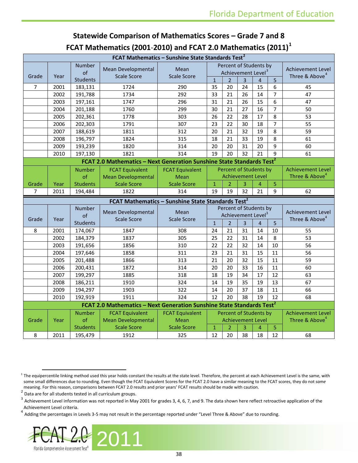| FCAT Mathematics (2001-2010) and FCAT 2.0 Mathematics (2011) |      |                     |                                                                                         |                                                               |                        |                |                |                                                          |                |                                                 |
|--------------------------------------------------------------|------|---------------------|-----------------------------------------------------------------------------------------|---------------------------------------------------------------|------------------------|----------------|----------------|----------------------------------------------------------|----------------|-------------------------------------------------|
|                                                              |      |                     |                                                                                         | FCAT Mathematics - Sunshine State Standards Test <sup>2</sup> |                        |                |                |                                                          |                |                                                 |
| Grade                                                        | Year | <b>Number</b><br>of | Mean Developmental<br><b>Scale Score</b>                                                | Mean<br><b>Scale Score</b>                                    |                        |                |                | Percent of Students by<br>Achievement Level <sup>3</sup> |                | Achievement Level<br>Three & Above <sup>4</sup> |
|                                                              |      | <b>Students</b>     |                                                                                         |                                                               | $\mathbf{1}$           | $\overline{2}$ | $\overline{3}$ | $\overline{4}$                                           | 5              |                                                 |
| 7                                                            | 2001 | 183,131             | 1724                                                                                    | 290                                                           | 35                     | 20             | 24             | 15                                                       | 6              | 45                                              |
|                                                              | 2002 | 191,788             | 1734                                                                                    | 292                                                           | 33                     | 21             | 26             | 14                                                       | $\overline{7}$ | 47                                              |
|                                                              | 2003 | 197,161             | 1747                                                                                    | 296                                                           | 31                     | 21             | 26             | 15                                                       | 6              | 47                                              |
|                                                              | 2004 | 201,188             | 1760                                                                                    | 299                                                           | 30                     | 21             | 27             | 16                                                       | $\overline{7}$ | 50                                              |
|                                                              | 2005 | 202,361             | 1778                                                                                    | 303                                                           | 26                     | 22             | 28             | 17                                                       | 8              | 53                                              |
|                                                              | 2006 | 202,303             | 1791                                                                                    | 307                                                           | 23                     | 22             | 30             | 18                                                       | $\overline{7}$ | 55                                              |
|                                                              | 2007 | 188,619             | 1811                                                                                    | 312                                                           | 20                     | 21             | 32             | 19                                                       | 8              | 59                                              |
|                                                              | 2008 | 196,797             | 1824                                                                                    | 315                                                           | 18                     | 21             | 33             | 19                                                       | 8              | 61                                              |
|                                                              | 2009 | 193,239             | 1820                                                                                    | 314                                                           | 20                     | 20             | 31             | 20                                                       | 9              | 60                                              |
|                                                              | 2010 | 197,130             | 1821                                                                                    | 314                                                           | 19                     | 20             | 32             | 21                                                       | $\mathsf{q}$   | 61                                              |
|                                                              |      |                     | <b>FCAT 2.0 Mathematics - Next Generation Sunshine State Standards Test<sup>2</sup></b> |                                                               |                        |                |                |                                                          |                |                                                 |
|                                                              |      | <b>Number</b>       | <b>FCAT Equivalent</b>                                                                  | <b>FCAT Equivalent</b>                                        | Percent of Students by |                |                | <b>Achievement Level</b>                                 |                |                                                 |
|                                                              |      | of                  | <b>Mean Developmental</b>                                                               | <b>Mean</b>                                                   |                        |                |                | <b>Achievement Level</b>                                 |                | Three & Above <sup>4</sup>                      |
| Grade                                                        | Year | <b>Students</b>     | <b>Scale Score</b>                                                                      | <b>Scale Score</b>                                            | $\mathbf{1}$           | $\overline{2}$ | 3              | $\overline{4}$                                           | 5              |                                                 |
| 7                                                            | 2011 | 194,484             | 1822                                                                                    | 314                                                           | 19                     | 19             | 32             | 21                                                       | 9              | 62                                              |
|                                                              |      |                     |                                                                                         | FCAT Mathematics - Sunshine State Standards Test <sup>2</sup> |                        |                |                |                                                          |                |                                                 |
|                                                              |      |                     |                                                                                         |                                                               | Percent of Students by |                |                |                                                          |                |                                                 |
|                                                              |      | Number              |                                                                                         |                                                               |                        |                |                |                                                          |                |                                                 |
|                                                              |      | of                  | Mean Developmental                                                                      | Mean                                                          |                        |                |                | Achievement Level <sup>3</sup>                           |                | Achievement Level                               |
| Grade                                                        | Year | <b>Students</b>     | <b>Scale Score</b>                                                                      | <b>Scale Score</b>                                            | $\mathbf{1}$           | $\overline{2}$ | $\overline{3}$ | $\overline{4}$                                           | 5              | Three & Above <sup>4</sup>                      |
| 8                                                            | 2001 | 174,067             | 1847                                                                                    | 308                                                           | 24                     | 21             | 31             | 14                                                       | 10             | 55                                              |
|                                                              | 2002 | 184,379             | 1837                                                                                    | 305                                                           | 25                     | 22             | 31             | 14                                                       | 8              | 53                                              |
|                                                              | 2003 | 191,656             | 1856                                                                                    | 310                                                           | 22                     | 22             | 32             | 14                                                       | 10             | 56                                              |
|                                                              | 2004 | 197,646             | 1858                                                                                    | 311                                                           | 23                     | 21             | 31             | 15                                                       | 11             | 56                                              |
|                                                              | 2005 | 201,488             | 1866                                                                                    | 313                                                           | 21                     | 20             | 32             | 15                                                       | 11             | 59                                              |
|                                                              | 2006 | 200,431             | 1872                                                                                    | 314                                                           | 20                     | 20             | 33             | 16                                                       | 11             | 60                                              |
|                                                              | 2007 | 199,297             | 1885                                                                                    | 318                                                           | 18                     | 19             | 34             | 17                                                       | 12             | 63                                              |
|                                                              | 2008 | 186,211             | 1910                                                                                    | 324                                                           | 14                     | 19             | 35             | 19                                                       | 13             | 67                                              |
|                                                              | 2009 | 194,297             | 1903                                                                                    | 322                                                           | 14                     | 20             | 37             | 18                                                       | 11             | 66                                              |
|                                                              | 2010 | 192,919             | 1911                                                                                    | 324                                                           | 12                     | 20             | 38             | 19                                                       | 12             | 68                                              |
|                                                              |      |                     |                                                                                         |                                                               |                        |                |                |                                                          |                |                                                 |
|                                                              |      | <b>Number</b>       | FCAT 2.0 Mathematics - Next Generation Sunshine State Standards Test <sup>2</sup>       |                                                               |                        |                |                |                                                          |                | <b>Achievement Level</b>                        |
| Grade                                                        | Year | of                  | <b>FCAT Equivalent</b><br><b>Mean Developmental</b>                                     | <b>FCAT Equivalent</b><br><b>Mean</b>                         |                        |                |                | Percent of Students by<br><b>Achievement Level</b>       |                | Three & Above <sup>4</sup>                      |
|                                                              |      | <b>Students</b>     | <b>Scale Score</b>                                                                      | <b>Scale Score</b>                                            | $\mathbf{1}$           | $\overline{2}$ | 3              | $\overline{a}$                                           | 5              |                                                 |

### **Statewide Comparison of Mathematics Scores – Grade 7 and 8 FCAT Mathematics (2001**-**2010) and FCAT 2.0 Mathematics (2011) [1](#page-37-0)**

<span id="page-37-3"></span>Adding the percentages in Levels 3-5 may not result in the percentage reported under "Level Three & Above" due to rounding.



<span id="page-37-0"></span> $1$  The equipercentile linking method used this year holds constant the results at the state level. Therefore, the percent at each Achievement Level is the same, with some small differences due to rounding. Even though the FCAT Equivalent Scores for the FCAT 2.0 have a similar meaning to the FCAT scores, they do not *same* meaning. For this reason, comparisons between FCAT 2.0 results and prior years' FCAT results should be made with caution.<br><sup>2</sup> Data are for all students tested in all curriculum groups.<br><sup>3</sup> A Literature in the formula of th

<span id="page-37-1"></span>

<span id="page-37-2"></span>Achievement Level information was not reported in May 2001 for grades 3, 4, 6, 7, and 9. The data shown here reflect retroactive application of the Achievement Level criteria.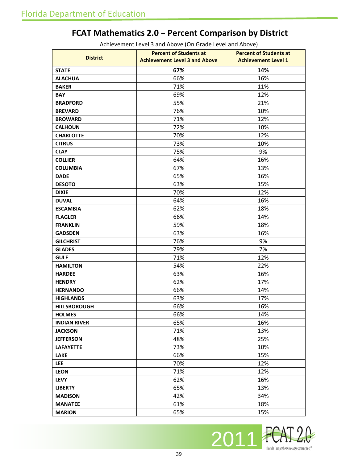## **FCAT Mathematics 2.0** – **Percent Comparison by District**

|                     | <b>Percent of Students at</b>        | <b>Percent of Students at</b> |
|---------------------|--------------------------------------|-------------------------------|
| <b>District</b>     | <b>Achievement Level 3 and Above</b> | <b>Achievement Level 1</b>    |
| <b>STATE</b>        | 67%                                  | 14%                           |
| <b>ALACHUA</b>      | 66%                                  | 16%                           |
| <b>BAKER</b>        | 71%                                  | 11%                           |
| <b>BAY</b>          | 69%                                  | 12%                           |
| <b>BRADFORD</b>     | 55%                                  | 21%                           |
| <b>BREVARD</b>      | 76%                                  | 10%                           |
| <b>BROWARD</b>      | 71%                                  | 12%                           |
| <b>CALHOUN</b>      | 72%                                  | 10%                           |
| <b>CHARLOTTE</b>    | 70%                                  | 12%                           |
| <b>CITRUS</b>       | 73%                                  | 10%                           |
| <b>CLAY</b>         | 75%                                  | 9%                            |
| <b>COLLIER</b>      | 64%                                  | 16%                           |
| <b>COLUMBIA</b>     | 67%                                  | 13%                           |
| <b>DADE</b>         | 65%                                  | 16%                           |
| <b>DESOTO</b>       | 63%                                  | 15%                           |
| <b>DIXIE</b>        | 70%                                  | 12%                           |
| <b>DUVAL</b>        | 64%                                  | 16%                           |
| <b>ESCAMBIA</b>     | 62%                                  | 18%                           |
| <b>FLAGLER</b>      | 66%                                  | 14%                           |
| <b>FRANKLIN</b>     | 59%                                  | 18%                           |
| <b>GADSDEN</b>      | 63%                                  | 16%                           |
| <b>GILCHRIST</b>    | 76%                                  | 9%                            |
| <b>GLADES</b>       | 79%                                  | 7%                            |
| <b>GULF</b>         | 71%                                  | 12%                           |
| <b>HAMILTON</b>     | 54%                                  | 22%                           |
| <b>HARDEE</b>       | 63%                                  | 16%                           |
| <b>HENDRY</b>       | 62%                                  | 17%                           |
| <b>HERNANDO</b>     | 66%                                  | 14%                           |
| <b>HIGHLANDS</b>    | 63%                                  | 17%                           |
| <b>HILLSBOROUGH</b> | 66%                                  | 16%                           |
| <b>HOLMES</b>       | 66%                                  | 14%                           |
| <b>INDIAN RIVER</b> | 65%                                  | 16%                           |
| <b>JACKSON</b>      | 71%                                  | 13%                           |
| <b>JEFFERSON</b>    | 48%                                  | 25%                           |
| <b>LAFAYETTE</b>    | 73%                                  | 10%                           |
| <b>LAKE</b>         | 66%                                  | 15%                           |
| <b>LEE</b>          | 70%                                  | 12%                           |
| <b>LEON</b>         | 71%                                  | 12%                           |
| <b>LEVY</b>         | 62%                                  | 16%                           |
| <b>LIBERTY</b>      | 65%                                  | 13%                           |
| <b>MADISON</b>      | 42%                                  | 34%                           |
| <b>MANATEE</b>      | 61%                                  | 18%                           |
| <b>MARION</b>       | 65%                                  | 15%                           |

Achievement Level 3 and Above (On Grade Level and Above)